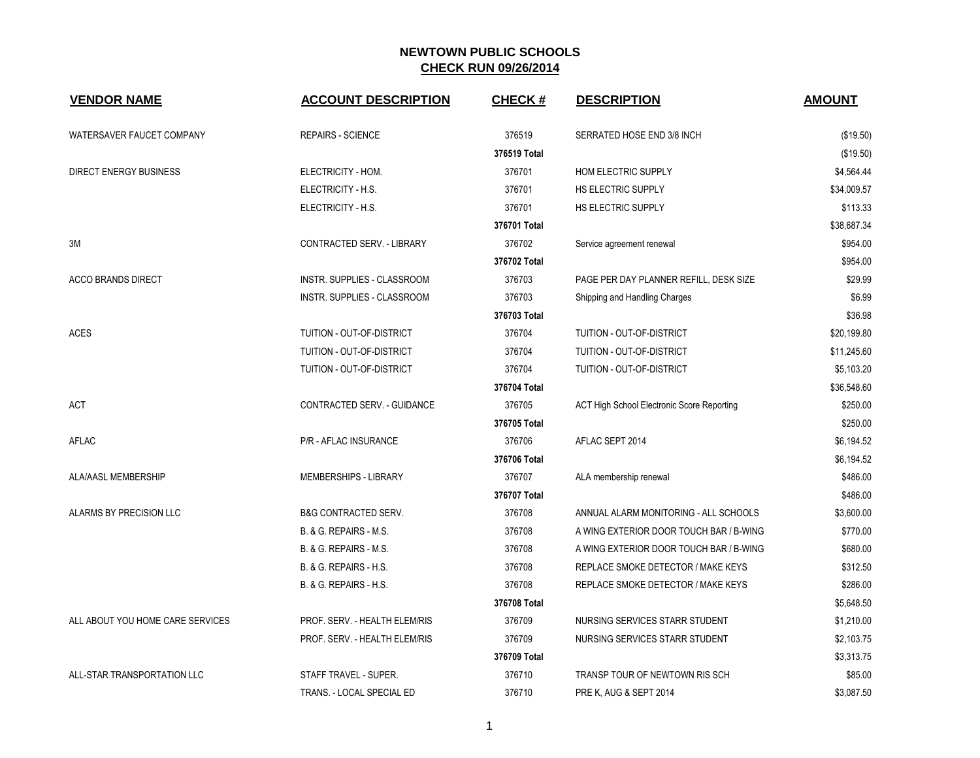| <b>VENDOR NAME</b>               | <b>ACCOUNT DESCRIPTION</b>      | <b>CHECK#</b> | <b>DESCRIPTION</b>                                | <b>AMOUNT</b> |
|----------------------------------|---------------------------------|---------------|---------------------------------------------------|---------------|
| WATERSAVER FAUCET COMPANY        | <b>REPAIRS - SCIENCE</b>        | 376519        | SERRATED HOSE END 3/8 INCH                        | (\$19.50)     |
|                                  |                                 | 376519 Total  |                                                   | (\$19.50)     |
| <b>DIRECT ENERGY BUSINESS</b>    | ELECTRICITY - HOM.              | 376701        | HOM ELECTRIC SUPPLY                               | \$4,564.44    |
|                                  | ELECTRICITY - H.S.              | 376701        | HS ELECTRIC SUPPLY                                | \$34,009.57   |
|                                  | ELECTRICITY - H.S.              | 376701        | HS ELECTRIC SUPPLY                                | \$113.33      |
|                                  |                                 | 376701 Total  |                                                   | \$38.687.34   |
| 3M                               | CONTRACTED SERV. - LIBRARY      | 376702        | Service agreement renewal                         | \$954.00      |
|                                  |                                 | 376702 Total  |                                                   | \$954.00      |
| <b>ACCO BRANDS DIRECT</b>        | INSTR. SUPPLIES - CLASSROOM     | 376703        | PAGE PER DAY PLANNER REFILL, DESK SIZE            | \$29.99       |
|                                  | INSTR. SUPPLIES - CLASSROOM     | 376703        | Shipping and Handling Charges                     | \$6.99        |
|                                  |                                 | 376703 Total  |                                                   | \$36.98       |
| <b>ACES</b>                      | TUITION - OUT-OF-DISTRICT       | 376704        | TUITION - OUT-OF-DISTRICT                         | \$20,199.80   |
|                                  | TUITION - OUT-OF-DISTRICT       | 376704        | TUITION - OUT-OF-DISTRICT                         | \$11,245.60   |
|                                  | TUITION - OUT-OF-DISTRICT       | 376704        | TUITION - OUT-OF-DISTRICT                         | \$5,103.20    |
|                                  |                                 | 376704 Total  |                                                   | \$36,548.60   |
| ACT                              | CONTRACTED SERV. - GUIDANCE     | 376705        | <b>ACT High School Electronic Score Reporting</b> | \$250.00      |
|                                  |                                 | 376705 Total  |                                                   | \$250.00      |
| <b>AFLAC</b>                     | P/R - AFLAC INSURANCE           | 376706        | AFLAC SEPT 2014                                   | \$6,194.52    |
|                                  |                                 | 376706 Total  |                                                   | \$6,194.52    |
| ALA/AASL MEMBERSHIP              | MEMBERSHIPS - LIBRARY           | 376707        | ALA membership renewal                            | \$486.00      |
|                                  |                                 | 376707 Total  |                                                   | \$486.00      |
| ALARMS BY PRECISION LLC          | <b>B&amp;G CONTRACTED SERV.</b> | 376708        | ANNUAL ALARM MONITORING - ALL SCHOOLS             | \$3,600.00    |
|                                  | B. & G. REPAIRS - M.S.          | 376708        | A WING EXTERIOR DOOR TOUCH BAR / B-WING           | \$770.00      |
|                                  | B. & G. REPAIRS - M.S.          | 376708        | A WING EXTERIOR DOOR TOUCH BAR / B-WING           | \$680.00      |
|                                  | B. & G. REPAIRS - H.S.          | 376708        | REPLACE SMOKE DETECTOR / MAKE KEYS                | \$312.50      |
|                                  | B. & G. REPAIRS - H.S.          | 376708        | REPLACE SMOKE DETECTOR / MAKE KEYS                | \$286.00      |
|                                  |                                 | 376708 Total  |                                                   | \$5,648.50    |
| ALL ABOUT YOU HOME CARE SERVICES | PROF. SERV. - HEALTH ELEM/RIS   | 376709        | NURSING SERVICES STARR STUDENT                    | \$1,210.00    |
|                                  | PROF. SERV. - HEALTH ELEM/RIS   | 376709        | NURSING SERVICES STARR STUDENT                    | \$2,103.75    |
|                                  |                                 | 376709 Total  |                                                   | \$3,313.75    |
| ALL-STAR TRANSPORTATION LLC      | STAFF TRAVEL - SUPER.           | 376710        | TRANSP TOUR OF NEWTOWN RIS SCH                    | \$85.00       |
|                                  | TRANS. - LOCAL SPECIAL ED       | 376710        | PRE K, AUG & SEPT 2014                            | \$3,087.50    |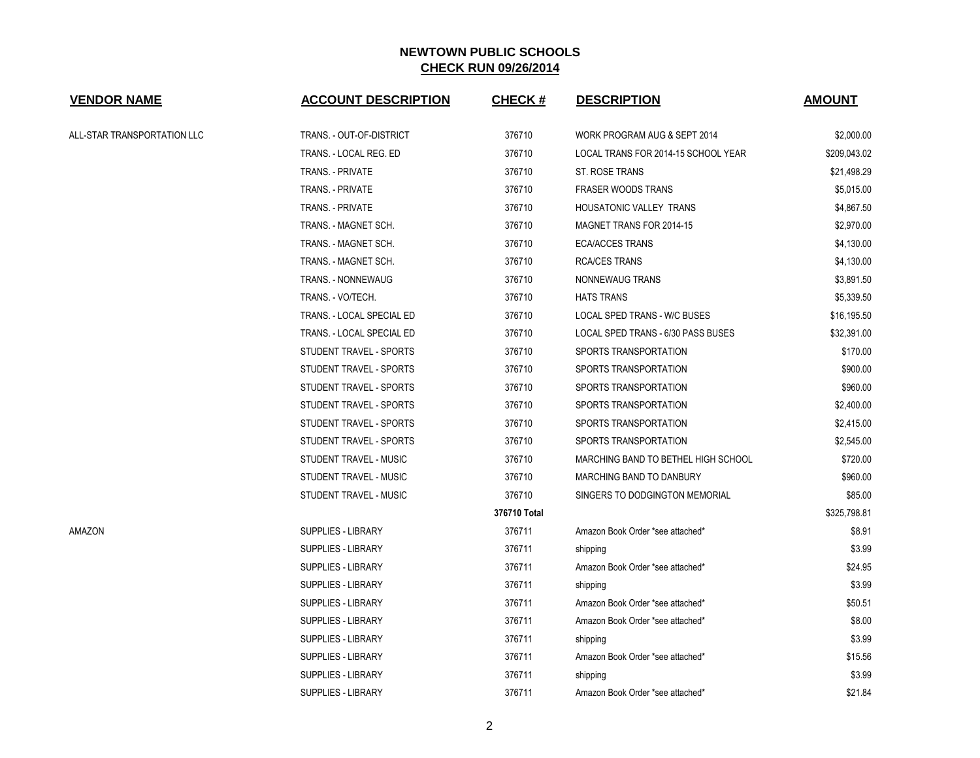| <b>VENDOR NAME</b>          | <b>ACCOUNT DESCRIPTION</b> | <b>CHECK#</b> | <b>DESCRIPTION</b>                  | <b>AMOUNT</b> |
|-----------------------------|----------------------------|---------------|-------------------------------------|---------------|
| ALL-STAR TRANSPORTATION LLC | TRANS. - OUT-OF-DISTRICT   | 376710        | WORK PROGRAM AUG & SEPT 2014        | \$2,000.00    |
|                             | TRANS. - LOCAL REG. ED     | 376710        | LOCAL TRANS FOR 2014-15 SCHOOL YEAR | \$209,043.02  |
|                             | <b>TRANS. - PRIVATE</b>    | 376710        | ST. ROSE TRANS                      | \$21,498.29   |
|                             | TRANS. - PRIVATE           | 376710        | <b>FRASER WOODS TRANS</b>           | \$5,015.00    |
|                             | TRANS. - PRIVATE           | 376710        | HOUSATONIC VALLEY TRANS             | \$4,867.50    |
|                             | TRANS. - MAGNET SCH.       | 376710        | MAGNET TRANS FOR 2014-15            | \$2,970.00    |
|                             | TRANS. - MAGNET SCH.       | 376710        | <b>ECA/ACCES TRANS</b>              | \$4,130.00    |
|                             | TRANS. - MAGNET SCH.       | 376710        | <b>RCA/CES TRANS</b>                | \$4,130.00    |
|                             | TRANS. - NONNEWAUG         | 376710        | NONNEWAUG TRANS                     | \$3,891.50    |
|                             | TRANS. - VO/TECH.          | 376710        | <b>HATS TRANS</b>                   | \$5,339.50    |
|                             | TRANS. - LOCAL SPECIAL ED  | 376710        | <b>LOCAL SPED TRANS - W/C BUSES</b> | \$16,195.50   |
|                             | TRANS. - LOCAL SPECIAL ED  | 376710        | LOCAL SPED TRANS - 6/30 PASS BUSES  | \$32,391.00   |
|                             | STUDENT TRAVEL - SPORTS    | 376710        | SPORTS TRANSPORTATION               | \$170.00      |
|                             | STUDENT TRAVEL - SPORTS    | 376710        | SPORTS TRANSPORTATION               | \$900.00      |
|                             | STUDENT TRAVEL - SPORTS    | 376710        | SPORTS TRANSPORTATION               | \$960.00      |
|                             | STUDENT TRAVEL - SPORTS    | 376710        | SPORTS TRANSPORTATION               | \$2,400.00    |
|                             | STUDENT TRAVEL - SPORTS    | 376710        | SPORTS TRANSPORTATION               | \$2,415.00    |
|                             | STUDENT TRAVEL - SPORTS    | 376710        | SPORTS TRANSPORTATION               | \$2,545.00    |
|                             | STUDENT TRAVEL - MUSIC     | 376710        | MARCHING BAND TO BETHEL HIGH SCHOOL | \$720.00      |
|                             | STUDENT TRAVEL - MUSIC     | 376710        | <b>MARCHING BAND TO DANBURY</b>     | \$960.00      |
|                             | STUDENT TRAVEL - MUSIC     | 376710        | SINGERS TO DODGINGTON MEMORIAL      | \$85.00       |
|                             |                            | 376710 Total  |                                     | \$325,798.81  |
| AMAZON                      | <b>SUPPLIES - LIBRARY</b>  | 376711        | Amazon Book Order *see attached*    | \$8.91        |
|                             | <b>SUPPLIES - LIBRARY</b>  | 376711        | shipping                            | \$3.99        |
|                             | <b>SUPPLIES - LIBRARY</b>  | 376711        | Amazon Book Order *see attached*    | \$24.95       |
|                             | <b>SUPPLIES - LIBRARY</b>  | 376711        | shipping                            | \$3.99        |
|                             | <b>SUPPLIES - LIBRARY</b>  | 376711        | Amazon Book Order *see attached*    | \$50.51       |
|                             | <b>SUPPLIES - LIBRARY</b>  | 376711        | Amazon Book Order *see attached*    | \$8.00        |
|                             | <b>SUPPLIES - LIBRARY</b>  | 376711        | shipping                            | \$3.99        |
|                             | <b>SUPPLIES - LIBRARY</b>  | 376711        | Amazon Book Order *see attached*    | \$15.56       |
|                             | <b>SUPPLIES - LIBRARY</b>  | 376711        | shipping                            | \$3.99        |
|                             | <b>SUPPLIES - LIBRARY</b>  | 376711        | Amazon Book Order *see attached*    | \$21.84       |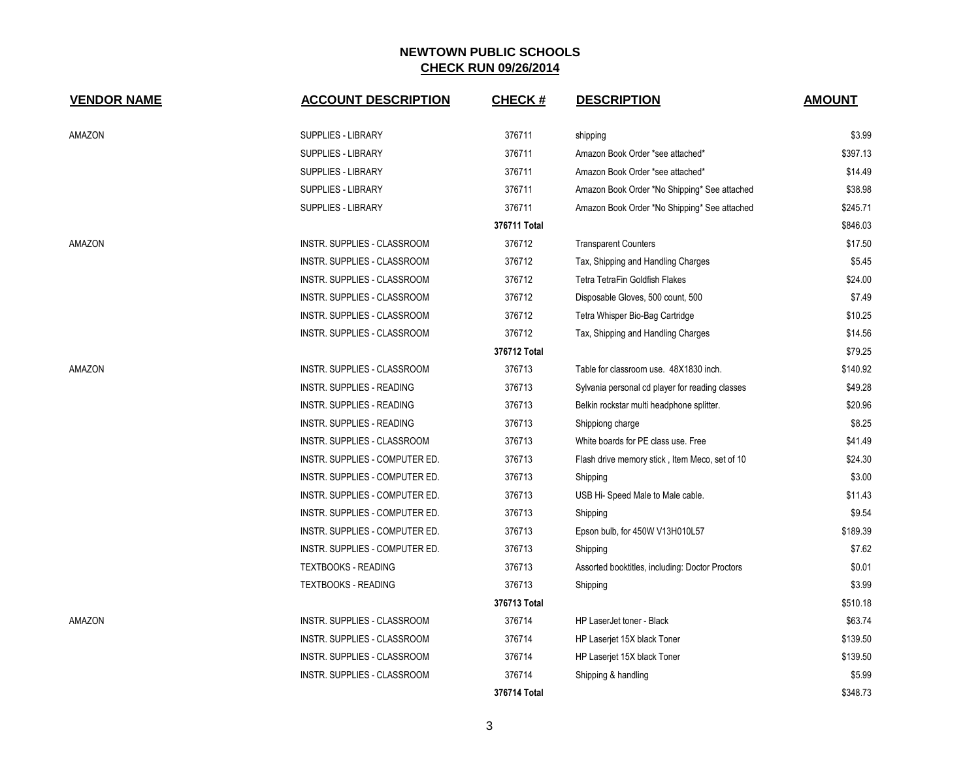| <b>VENDOR NAME</b> | <b>ACCOUNT DESCRIPTION</b>       | <b>CHECK#</b> | <b>DESCRIPTION</b>                              | <b>AMOUNT</b> |
|--------------------|----------------------------------|---------------|-------------------------------------------------|---------------|
| AMAZON             | <b>SUPPLIES - LIBRARY</b>        | 376711        | shipping                                        | \$3.99        |
|                    | <b>SUPPLIES - LIBRARY</b>        | 376711        | Amazon Book Order *see attached*                | \$397.13      |
|                    | <b>SUPPLIES - LIBRARY</b>        | 376711        | Amazon Book Order *see attached*                | \$14.49       |
|                    | <b>SUPPLIES - LIBRARY</b>        | 376711        | Amazon Book Order *No Shipping* See attached    | \$38.98       |
|                    | <b>SUPPLIES - LIBRARY</b>        | 376711        | Amazon Book Order *No Shipping* See attached    | \$245.71      |
|                    |                                  | 376711 Total  |                                                 | \$846.03      |
| AMAZON             | INSTR. SUPPLIES - CLASSROOM      | 376712        | <b>Transparent Counters</b>                     | \$17.50       |
|                    | INSTR. SUPPLIES - CLASSROOM      | 376712        | Tax, Shipping and Handling Charges              | \$5.45        |
|                    | INSTR. SUPPLIES - CLASSROOM      | 376712        | Tetra TetraFin Goldfish Flakes                  | \$24.00       |
|                    | INSTR. SUPPLIES - CLASSROOM      | 376712        | Disposable Gloves, 500 count, 500               | \$7.49        |
|                    | INSTR. SUPPLIES - CLASSROOM      | 376712        | Tetra Whisper Bio-Bag Cartridge                 | \$10.25       |
|                    | INSTR. SUPPLIES - CLASSROOM      | 376712        | Tax, Shipping and Handling Charges              | \$14.56       |
|                    |                                  | 376712 Total  |                                                 | \$79.25       |
| AMAZON             | INSTR. SUPPLIES - CLASSROOM      | 376713        | Table for classroom use. 48X1830 inch.          | \$140.92      |
|                    | <b>INSTR. SUPPLIES - READING</b> | 376713        | Sylvania personal cd player for reading classes | \$49.28       |
|                    | <b>INSTR. SUPPLIES - READING</b> | 376713        | Belkin rockstar multi headphone splitter.       | \$20.96       |
|                    | INSTR. SUPPLIES - READING        | 376713        | Shippiong charge                                | \$8.25        |
|                    | INSTR. SUPPLIES - CLASSROOM      | 376713        | White boards for PE class use. Free             | \$41.49       |
|                    | INSTR. SUPPLIES - COMPUTER ED.   | 376713        | Flash drive memory stick, Item Meco, set of 10  | \$24.30       |
|                    | INSTR. SUPPLIES - COMPUTER ED.   | 376713        | Shipping                                        | \$3.00        |
|                    | INSTR. SUPPLIES - COMPUTER ED.   | 376713        | USB Hi-Speed Male to Male cable.                | \$11.43       |
|                    | INSTR. SUPPLIES - COMPUTER ED.   | 376713        | Shipping                                        | \$9.54        |
|                    | INSTR. SUPPLIES - COMPUTER ED.   | 376713        | Epson bulb, for 450W V13H010L57                 | \$189.39      |
|                    | INSTR. SUPPLIES - COMPUTER ED.   | 376713        | Shipping                                        | \$7.62        |
|                    | <b>TEXTBOOKS - READING</b>       | 376713        | Assorted booktitles, including: Doctor Proctors | \$0.01        |
|                    | <b>TEXTBOOKS - READING</b>       | 376713        | Shipping                                        | \$3.99        |
|                    |                                  | 376713 Total  |                                                 | \$510.18      |
| AMAZON             | INSTR. SUPPLIES - CLASSROOM      | 376714        | HP LaserJet toner - Black                       | \$63.74       |
|                    | INSTR. SUPPLIES - CLASSROOM      | 376714        | HP Laserjet 15X black Toner                     | \$139.50      |
|                    | INSTR. SUPPLIES - CLASSROOM      | 376714        | HP Laserjet 15X black Toner                     | \$139.50      |
|                    | INSTR. SUPPLIES - CLASSROOM      | 376714        | Shipping & handling                             | \$5.99        |
|                    |                                  | 376714 Total  |                                                 | \$348.73      |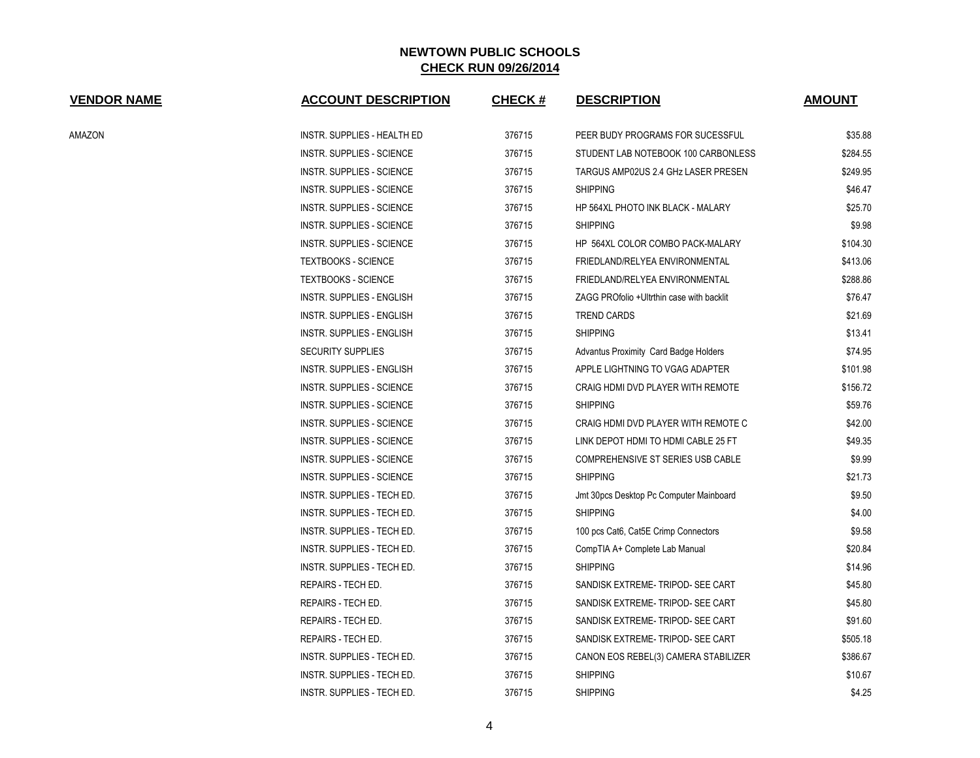| <b>VENDOR NAME</b> | <b>ACCOUNT DESCRIPTION</b>       | <b>CHECK#</b> | <b>DESCRIPTION</b>                        | <b>AMOUNT</b> |
|--------------------|----------------------------------|---------------|-------------------------------------------|---------------|
| AMAZON             | INSTR. SUPPLIES - HEALTH ED      | 376715        | PEER BUDY PROGRAMS FOR SUCESSFUL          | \$35.88       |
|                    | <b>INSTR. SUPPLIES - SCIENCE</b> | 376715        | STUDENT LAB NOTEBOOK 100 CARBONLESS       | \$284.55      |
|                    | <b>INSTR. SUPPLIES - SCIENCE</b> | 376715        | TARGUS AMP02US 2.4 GHz LASER PRESEN       | \$249.95      |
|                    | <b>INSTR. SUPPLIES - SCIENCE</b> | 376715        | <b>SHIPPING</b>                           | \$46.47       |
|                    | <b>INSTR. SUPPLIES - SCIENCE</b> | 376715        | HP 564XL PHOTO INK BLACK - MALARY         | \$25.70       |
|                    | <b>INSTR. SUPPLIES - SCIENCE</b> | 376715        | <b>SHIPPING</b>                           | \$9.98        |
|                    | <b>INSTR. SUPPLIES - SCIENCE</b> | 376715        | HP 564XL COLOR COMBO PACK-MALARY          | \$104.30      |
|                    | <b>TEXTBOOKS - SCIENCE</b>       | 376715        | FRIEDLAND/RELYEA ENVIRONMENTAL            | \$413.06      |
|                    | <b>TEXTBOOKS - SCIENCE</b>       | 376715        | FRIEDLAND/RELYEA ENVIRONMENTAL            | \$288.86      |
|                    | <b>INSTR. SUPPLIES - ENGLISH</b> | 376715        | ZAGG PROfolio +Ultrthin case with backlit | \$76.47       |
|                    | <b>INSTR. SUPPLIES - ENGLISH</b> | 376715        | <b>TREND CARDS</b>                        | \$21.69       |
|                    | <b>INSTR. SUPPLIES - ENGLISH</b> | 376715        | <b>SHIPPING</b>                           | \$13.41       |
|                    | <b>SECURITY SUPPLIES</b>         | 376715        | Advantus Proximity Card Badge Holders     | \$74.95       |
|                    | <b>INSTR. SUPPLIES - ENGLISH</b> | 376715        | APPLE LIGHTNING TO VGAG ADAPTER           | \$101.98      |
|                    | <b>INSTR. SUPPLIES - SCIENCE</b> | 376715        | CRAIG HDMI DVD PLAYER WITH REMOTE         | \$156.72      |
|                    | <b>INSTR. SUPPLIES - SCIENCE</b> | 376715        | <b>SHIPPING</b>                           | \$59.76       |
|                    | <b>INSTR. SUPPLIES - SCIENCE</b> | 376715        | CRAIG HDMI DVD PLAYER WITH REMOTE C       | \$42.00       |
|                    | <b>INSTR. SUPPLIES - SCIENCE</b> | 376715        | LINK DEPOT HDMI TO HDMI CABLE 25 FT       | \$49.35       |
|                    | <b>INSTR. SUPPLIES - SCIENCE</b> | 376715        | COMPREHENSIVE ST SERIES USB CABLE         | \$9.99        |
|                    | <b>INSTR. SUPPLIES - SCIENCE</b> | 376715        | <b>SHIPPING</b>                           | \$21.73       |
|                    | INSTR. SUPPLIES - TECH ED.       | 376715        | Jmt 30pcs Desktop Pc Computer Mainboard   | \$9.50        |
|                    | INSTR. SUPPLIES - TECH ED.       | 376715        | <b>SHIPPING</b>                           | \$4.00        |
|                    | INSTR. SUPPLIES - TECH ED.       | 376715        | 100 pcs Cat6, Cat5E Crimp Connectors      | \$9.58        |
|                    | INSTR. SUPPLIES - TECH ED.       | 376715        | CompTIA A+ Complete Lab Manual            | \$20.84       |
|                    | INSTR. SUPPLIES - TECH ED.       | 376715        | <b>SHIPPING</b>                           | \$14.96       |
|                    | REPAIRS - TECH ED.               | 376715        | SANDISK EXTREME-TRIPOD-SEE CART           | \$45.80       |
|                    | REPAIRS - TECH ED.               | 376715        | SANDISK EXTREME-TRIPOD- SEE CART          | \$45.80       |
|                    | REPAIRS - TECH ED.               | 376715        | SANDISK EXTREME-TRIPOD-SEE CART           | \$91.60       |
|                    | REPAIRS - TECH ED.               | 376715        | SANDISK EXTREME- TRIPOD- SEE CART         | \$505.18      |
|                    | INSTR. SUPPLIES - TECH ED.       | 376715        | CANON EOS REBEL(3) CAMERA STABILIZER      | \$386.67      |
|                    | INSTR. SUPPLIES - TECH ED.       | 376715        | <b>SHIPPING</b>                           | \$10.67       |
|                    | INSTR. SUPPLIES - TECH ED.       | 376715        | <b>SHIPPING</b>                           | \$4.25        |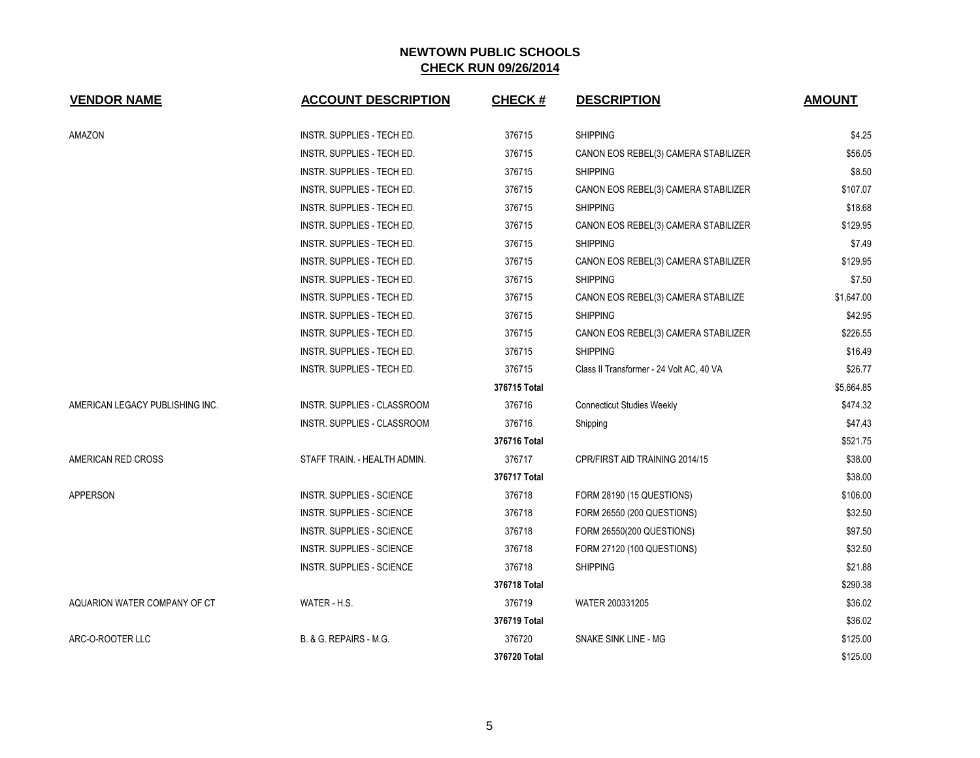| <b>VENDOR NAME</b>              | <b>ACCOUNT DESCRIPTION</b>        | <b>CHECK#</b> | <b>DESCRIPTION</b>                       | <b>AMOUNT</b> |
|---------------------------------|-----------------------------------|---------------|------------------------------------------|---------------|
| AMAZON                          | INSTR. SUPPLIES - TECH ED.        | 376715        | <b>SHIPPING</b>                          | \$4.25        |
|                                 | INSTR. SUPPLIES - TECH ED.        | 376715        | CANON EOS REBEL(3) CAMERA STABILIZER     | \$56.05       |
|                                 | INSTR. SUPPLIES - TECH ED.        | 376715        | <b>SHIPPING</b>                          | \$8.50        |
|                                 | INSTR. SUPPLIES - TECH ED.        | 376715        | CANON EOS REBEL(3) CAMERA STABILIZER     | \$107.07      |
|                                 | INSTR. SUPPLIES - TECH ED.        | 376715        | <b>SHIPPING</b>                          | \$18.68       |
|                                 | INSTR. SUPPLIES - TECH ED.        | 376715        | CANON EOS REBEL(3) CAMERA STABILIZER     | \$129.95      |
|                                 | INSTR. SUPPLIES - TECH ED.        | 376715        | <b>SHIPPING</b>                          | \$7.49        |
|                                 | INSTR. SUPPLIES - TECH ED.        | 376715        | CANON EOS REBEL(3) CAMERA STABILIZER     | \$129.95      |
|                                 | INSTR. SUPPLIES - TECH ED.        | 376715        | <b>SHIPPING</b>                          | \$7.50        |
|                                 | INSTR. SUPPLIES - TECH ED.        | 376715        | CANON EOS REBEL(3) CAMERA STABILIZE      | \$1,647.00    |
|                                 | INSTR. SUPPLIES - TECH ED.        | 376715        | <b>SHIPPING</b>                          | \$42.95       |
|                                 | INSTR. SUPPLIES - TECH ED.        | 376715        | CANON EOS REBEL(3) CAMERA STABILIZER     | \$226.55      |
|                                 | INSTR. SUPPLIES - TECH ED.        | 376715        | <b>SHIPPING</b>                          | \$16.49       |
|                                 | INSTR. SUPPLIES - TECH ED.        | 376715        | Class II Transformer - 24 Volt AC, 40 VA | \$26.77       |
|                                 |                                   | 376715 Total  |                                          | \$5,664.85    |
| AMERICAN LEGACY PUBLISHING INC. | INSTR. SUPPLIES - CLASSROOM       | 376716        | <b>Connecticut Studies Weekly</b>        | \$474.32      |
|                                 | INSTR. SUPPLIES - CLASSROOM       | 376716        | Shipping                                 | \$47.43       |
|                                 |                                   | 376716 Total  |                                          | \$521.75      |
| AMERICAN RED CROSS              | STAFF TRAIN. - HEALTH ADMIN.      | 376717        | CPR/FIRST AID TRAINING 2014/15           | \$38.00       |
|                                 |                                   | 376717 Total  |                                          | \$38.00       |
| APPERSON                        | INSTR. SUPPLIES - SCIENCE         | 376718        | FORM 28190 (15 QUESTIONS)                | \$106.00      |
|                                 | INSTR. SUPPLIES - SCIENCE         | 376718        | FORM 26550 (200 QUESTIONS)               | \$32.50       |
|                                 | INSTR. SUPPLIES - SCIENCE         | 376718        | FORM 26550(200 QUESTIONS)                | \$97.50       |
|                                 | <b>INSTR. SUPPLIES - SCIENCE</b>  | 376718        | FORM 27120 (100 QUESTIONS)               | \$32.50       |
|                                 | INSTR. SUPPLIES - SCIENCE         | 376718        | <b>SHIPPING</b>                          | \$21.88       |
|                                 |                                   | 376718 Total  |                                          | \$290.38      |
| AQUARION WATER COMPANY OF CT    | WATER - H.S.                      | 376719        | WATER 200331205                          | \$36.02       |
|                                 |                                   | 376719 Total  |                                          | \$36.02       |
| ARC-O-ROOTER LLC                | <b>B. &amp; G. REPAIRS - M.G.</b> | 376720        | SNAKE SINK LINE - MG                     | \$125.00      |
|                                 |                                   | 376720 Total  |                                          | \$125.00      |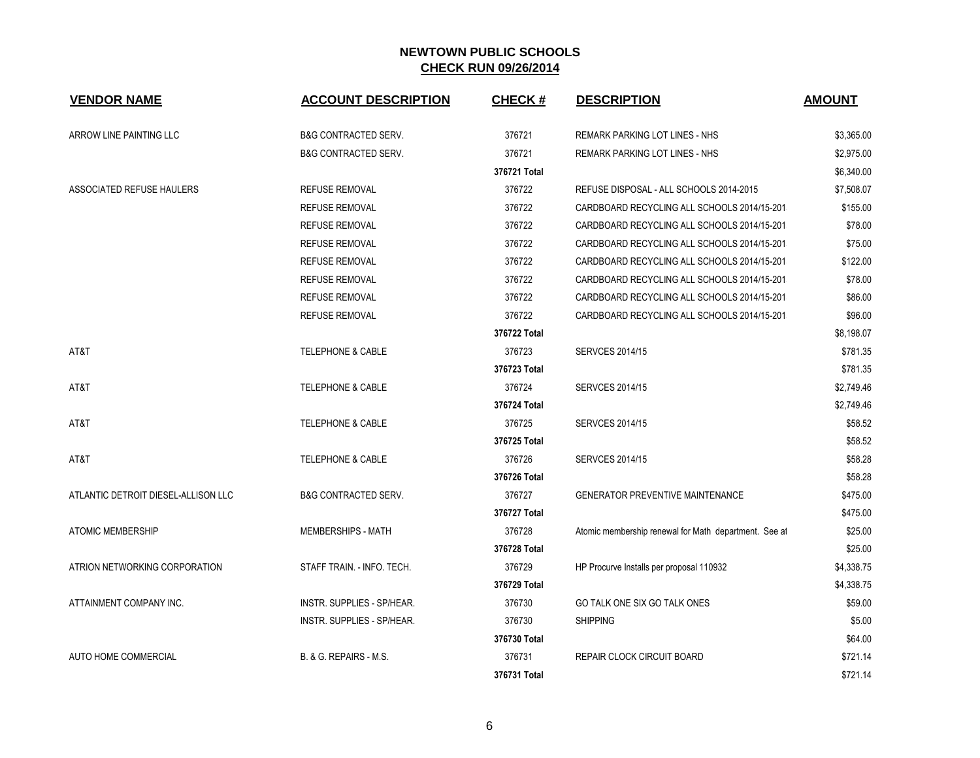| <b>VENDOR NAME</b>                  | <b>ACCOUNT DESCRIPTION</b>        | <b>CHECK#</b> | <b>DESCRIPTION</b>                                    | <b>AMOUNT</b> |
|-------------------------------------|-----------------------------------|---------------|-------------------------------------------------------|---------------|
| ARROW LINE PAINTING LLC             | <b>B&amp;G CONTRACTED SERV.</b>   | 376721        | <b>REMARK PARKING LOT LINES - NHS</b>                 | \$3,365.00    |
|                                     | <b>B&amp;G CONTRACTED SERV.</b>   | 376721        | REMARK PARKING LOT LINES - NHS                        | \$2,975.00    |
|                                     |                                   | 376721 Total  |                                                       | \$6,340.00    |
| ASSOCIATED REFUSE HAULERS           | <b>REFUSE REMOVAL</b>             | 376722        | REFUSE DISPOSAL - ALL SCHOOLS 2014-2015               | \$7,508.07    |
|                                     | <b>REFUSE REMOVAL</b>             | 376722        | CARDBOARD RECYCLING ALL SCHOOLS 2014/15-201           | \$155.00      |
|                                     | <b>REFUSE REMOVAL</b>             | 376722        | CARDBOARD RECYCLING ALL SCHOOLS 2014/15-201           | \$78.00       |
|                                     | <b>REFUSE REMOVAL</b>             | 376722        | CARDBOARD RECYCLING ALL SCHOOLS 2014/15-201           | \$75.00       |
|                                     | <b>REFUSE REMOVAL</b>             | 376722        | CARDBOARD RECYCLING ALL SCHOOLS 2014/15-201           | \$122.00      |
|                                     | <b>REFUSE REMOVAL</b>             | 376722        | CARDBOARD RECYCLING ALL SCHOOLS 2014/15-201           | \$78.00       |
|                                     | <b>REFUSE REMOVAL</b>             | 376722        | CARDBOARD RECYCLING ALL SCHOOLS 2014/15-201           | \$86.00       |
|                                     | <b>REFUSE REMOVAL</b>             | 376722        | CARDBOARD RECYCLING ALL SCHOOLS 2014/15-201           | \$96.00       |
|                                     |                                   | 376722 Total  |                                                       | \$8,198.07    |
| AT&T                                | <b>TELEPHONE &amp; CABLE</b>      | 376723        | <b>SERVCES 2014/15</b>                                | \$781.35      |
|                                     |                                   | 376723 Total  |                                                       | \$781.35      |
| AT&T                                | <b>TELEPHONE &amp; CABLE</b>      | 376724        | <b>SERVCES 2014/15</b>                                | \$2,749.46    |
|                                     |                                   | 376724 Total  |                                                       | \$2,749.46    |
| AT&T                                | <b>TELEPHONE &amp; CABLE</b>      | 376725        | <b>SERVCES 2014/15</b>                                | \$58.52       |
|                                     |                                   | 376725 Total  |                                                       | \$58.52       |
| AT&T                                | <b>TELEPHONE &amp; CABLE</b>      | 376726        | <b>SERVCES 2014/15</b>                                | \$58.28       |
|                                     |                                   | 376726 Total  |                                                       | \$58.28       |
| ATLANTIC DETROIT DIESEL-ALLISON LLC | <b>B&amp;G CONTRACTED SERV.</b>   | 376727        | <b>GENERATOR PREVENTIVE MAINTENANCE</b>               | \$475.00      |
|                                     |                                   | 376727 Total  |                                                       | \$475.00      |
| <b>ATOMIC MEMBERSHIP</b>            | MEMBERSHIPS - MATH                | 376728        | Atomic membership renewal for Math department. See at | \$25.00       |
|                                     |                                   | 376728 Total  |                                                       | \$25.00       |
| ATRION NETWORKING CORPORATION       | STAFF TRAIN. - INFO. TECH.        | 376729        | HP Procurve Installs per proposal 110932              | \$4,338.75    |
|                                     |                                   | 376729 Total  |                                                       | \$4,338.75    |
| ATTAINMENT COMPANY INC.             | INSTR. SUPPLIES - SP/HEAR.        | 376730        | GO TALK ONE SIX GO TALK ONES                          | \$59.00       |
|                                     | INSTR. SUPPLIES - SP/HEAR.        | 376730        | <b>SHIPPING</b>                                       | \$5.00        |
|                                     |                                   | 376730 Total  |                                                       | \$64.00       |
| AUTO HOME COMMERCIAL                | <b>B. &amp; G. REPAIRS - M.S.</b> | 376731        | <b>REPAIR CLOCK CIRCUIT BOARD</b>                     | \$721.14      |
|                                     |                                   | 376731 Total  |                                                       | \$721.14      |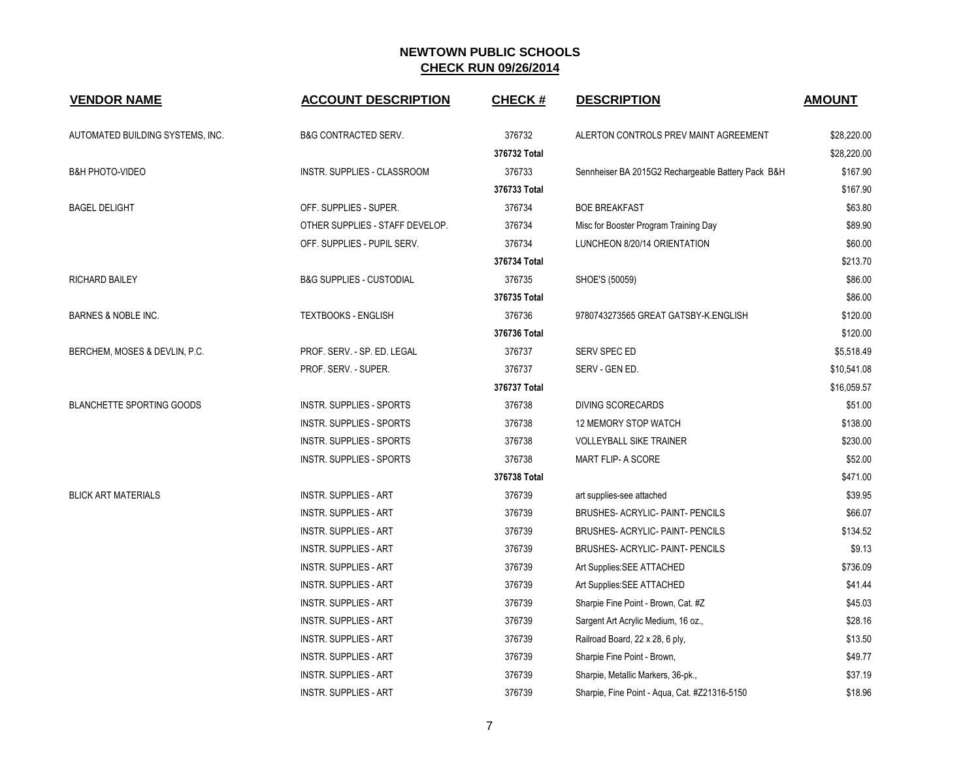| <b>VENDOR NAME</b>               | <b>ACCOUNT DESCRIPTION</b>          | <b>CHECK#</b> | <b>DESCRIPTION</b>                                 | <b>AMOUNT</b> |
|----------------------------------|-------------------------------------|---------------|----------------------------------------------------|---------------|
| AUTOMATED BUILDING SYSTEMS, INC. | <b>B&amp;G CONTRACTED SERV.</b>     | 376732        | ALERTON CONTROLS PREV MAINT AGREEMENT              | \$28,220.00   |
|                                  |                                     | 376732 Total  |                                                    | \$28,220.00   |
| <b>B&amp;H PHOTO-VIDEO</b>       | INSTR. SUPPLIES - CLASSROOM         | 376733        | Sennheiser BA 2015G2 Rechargeable Battery Pack B&H | \$167.90      |
|                                  |                                     | 376733 Total  |                                                    | \$167.90      |
| <b>BAGEL DELIGHT</b>             | OFF. SUPPLIES - SUPER.              | 376734        | <b>BOE BREAKFAST</b>                               | \$63.80       |
|                                  | OTHER SUPPLIES - STAFF DEVELOP.     | 376734        | Misc for Booster Program Training Day              | \$89.90       |
|                                  | OFF. SUPPLIES - PUPIL SERV.         | 376734        | LUNCHEON 8/20/14 ORIENTATION                       | \$60.00       |
|                                  |                                     | 376734 Total  |                                                    | \$213.70      |
| RICHARD BAILEY                   | <b>B&amp;G SUPPLIES - CUSTODIAL</b> | 376735        | SHOE'S (50059)                                     | \$86.00       |
|                                  |                                     | 376735 Total  |                                                    | \$86.00       |
| <b>BARNES &amp; NOBLE INC.</b>   | <b>TEXTBOOKS - ENGLISH</b>          | 376736        | 9780743273565 GREAT GATSBY-K.ENGLISH               | \$120.00      |
|                                  |                                     | 376736 Total  |                                                    | \$120.00      |
| BERCHEM, MOSES & DEVLIN, P.C.    | PROF. SERV. - SP. ED. LEGAL         | 376737        | SERV SPEC ED                                       | \$5,518.49    |
|                                  | PROF. SERV. - SUPER.                | 376737        | SERV - GEN ED.                                     | \$10,541.08   |
|                                  |                                     | 376737 Total  |                                                    | \$16,059.57   |
| BLANCHETTE SPORTING GOODS        | <b>INSTR. SUPPLIES - SPORTS</b>     | 376738        | <b>DIVING SCORECARDS</b>                           | \$51.00       |
|                                  | <b>INSTR. SUPPLIES - SPORTS</b>     | 376738        | <b>12 MEMORY STOP WATCH</b>                        | \$138.00      |
|                                  | <b>INSTR. SUPPLIES - SPORTS</b>     | 376738        | <b>VOLLEYBALL SIKE TRAINER</b>                     | \$230.00      |
|                                  | <b>INSTR. SUPPLIES - SPORTS</b>     | 376738        | MART FLIP- A SCORE                                 | \$52.00       |
|                                  |                                     | 376738 Total  |                                                    | \$471.00      |
| <b>BLICK ART MATERIALS</b>       | <b>INSTR. SUPPLIES - ART</b>        | 376739        | art supplies-see attached                          | \$39.95       |
|                                  | <b>INSTR. SUPPLIES - ART</b>        | 376739        | BRUSHES- ACRYLIC- PAINT- PENCILS                   | \$66.07       |
|                                  | <b>INSTR. SUPPLIES - ART</b>        | 376739        | BRUSHES- ACRYLIC- PAINT- PENCILS                   | \$134.52      |
|                                  | <b>INSTR. SUPPLIES - ART</b>        | 376739        | BRUSHES- ACRYLIC- PAINT- PENCILS                   | \$9.13        |
|                                  | <b>INSTR. SUPPLIES - ART</b>        | 376739        | Art Supplies: SEE ATTACHED                         | \$736.09      |
|                                  | <b>INSTR. SUPPLIES - ART</b>        | 376739        | Art Supplies: SEE ATTACHED                         | \$41.44       |
|                                  | <b>INSTR. SUPPLIES - ART</b>        | 376739        | Sharpie Fine Point - Brown, Cat. #Z                | \$45.03       |
|                                  | <b>INSTR. SUPPLIES - ART</b>        | 376739        | Sargent Art Acrylic Medium, 16 oz.,                | \$28.16       |
|                                  | <b>INSTR. SUPPLIES - ART</b>        | 376739        | Railroad Board, 22 x 28, 6 ply,                    | \$13.50       |
|                                  | <b>INSTR. SUPPLIES - ART</b>        | 376739        | Sharpie Fine Point - Brown,                        | \$49.77       |
|                                  | <b>INSTR. SUPPLIES - ART</b>        | 376739        | Sharpie, Metallic Markers, 36-pk.,                 | \$37.19       |
|                                  | <b>INSTR. SUPPLIES - ART</b>        | 376739        | Sharpie, Fine Point - Aqua, Cat. #Z21316-5150      | \$18.96       |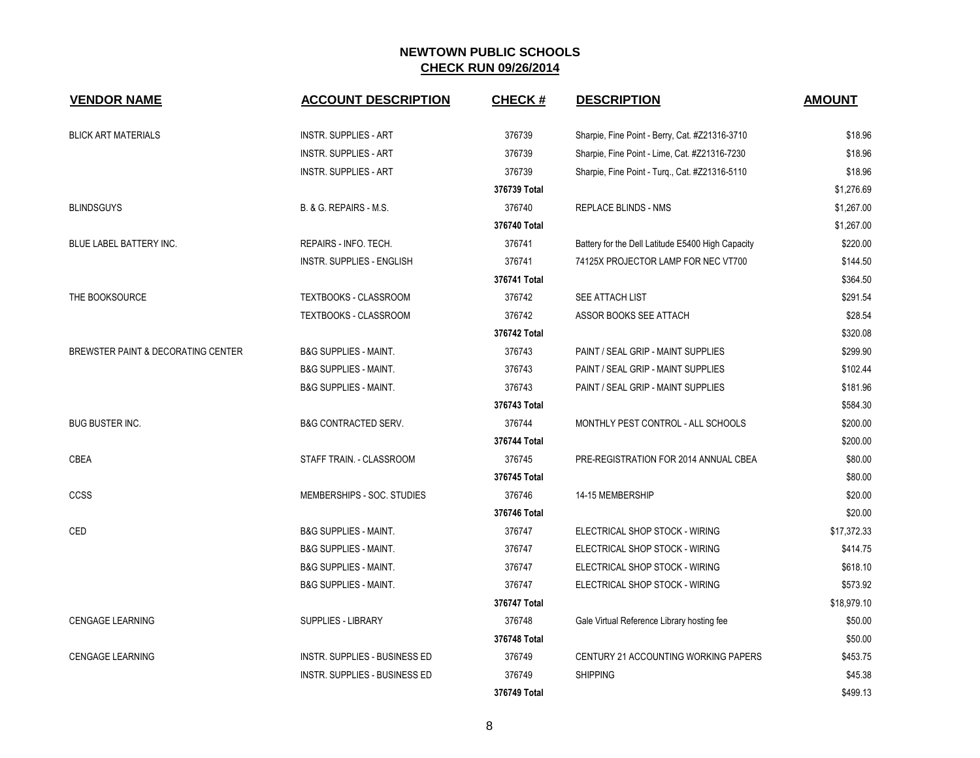| <b>VENDOR NAME</b>                 | <b>ACCOUNT DESCRIPTION</b>           | <b>CHECK#</b> | <b>DESCRIPTION</b>                                | <b>AMOUNT</b> |
|------------------------------------|--------------------------------------|---------------|---------------------------------------------------|---------------|
| <b>BLICK ART MATERIALS</b>         | <b>INSTR. SUPPLIES - ART</b>         | 376739        | Sharpie, Fine Point - Berry, Cat. #Z21316-3710    | \$18.96       |
|                                    | <b>INSTR. SUPPLIES - ART</b>         | 376739        | Sharpie, Fine Point - Lime, Cat. #Z21316-7230     | \$18.96       |
|                                    | INSTR. SUPPLIES - ART                | 376739        | Sharpie, Fine Point - Turq., Cat. #Z21316-5110    | \$18.96       |
|                                    |                                      | 376739 Total  |                                                   | \$1,276.69    |
| <b>BLINDSGUYS</b>                  | B. & G. REPAIRS - M.S.               | 376740        | <b>REPLACE BLINDS - NMS</b>                       | \$1,267.00    |
|                                    |                                      | 376740 Total  |                                                   | \$1,267.00    |
| BLUE LABEL BATTERY INC.            | REPAIRS - INFO. TECH.                | 376741        | Battery for the Dell Latitude E5400 High Capacity | \$220.00      |
|                                    | <b>INSTR. SUPPLIES - ENGLISH</b>     | 376741        | 74125X PROJECTOR LAMP FOR NEC VT700               | \$144.50      |
|                                    |                                      | 376741 Total  |                                                   | \$364.50      |
| THE BOOKSOURCE                     | TEXTBOOKS - CLASSROOM                | 376742        | SEE ATTACH LIST                                   | \$291.54      |
|                                    | TEXTBOOKS - CLASSROOM                | 376742        | ASSOR BOOKS SEE ATTACH                            | \$28.54       |
|                                    |                                      | 376742 Total  |                                                   | \$320.08      |
| BREWSTER PAINT & DECORATING CENTER | <b>B&amp;G SUPPLIES - MAINT.</b>     | 376743        | PAINT / SEAL GRIP - MAINT SUPPLIES                | \$299.90      |
|                                    | <b>B&amp;G SUPPLIES - MAINT.</b>     | 376743        | PAINT / SEAL GRIP - MAINT SUPPLIES                | \$102.44      |
|                                    | <b>B&amp;G SUPPLIES - MAINT.</b>     | 376743        | PAINT / SEAL GRIP - MAINT SUPPLIES                | \$181.96      |
|                                    |                                      | 376743 Total  |                                                   | \$584.30      |
| <b>BUG BUSTER INC.</b>             | <b>B&amp;G CONTRACTED SERV.</b>      | 376744        | MONTHLY PEST CONTROL - ALL SCHOOLS                | \$200.00      |
|                                    |                                      | 376744 Total  |                                                   | \$200.00      |
| CBEA                               | STAFF TRAIN. - CLASSROOM             | 376745        | PRE-REGISTRATION FOR 2014 ANNUAL CBEA             | \$80.00       |
|                                    |                                      | 376745 Total  |                                                   | \$80.00       |
| ccss                               | MEMBERSHIPS - SOC. STUDIES           | 376746        | 14-15 MEMBERSHIP                                  | \$20.00       |
|                                    |                                      | 376746 Total  |                                                   | \$20.00       |
| CED                                | <b>B&amp;G SUPPLIES - MAINT.</b>     | 376747        | ELECTRICAL SHOP STOCK - WIRING                    | \$17,372.33   |
|                                    | <b>B&amp;G SUPPLIES - MAINT.</b>     | 376747        | ELECTRICAL SHOP STOCK - WIRING                    | \$414.75      |
|                                    | <b>B&amp;G SUPPLIES - MAINT.</b>     | 376747        | ELECTRICAL SHOP STOCK - WIRING                    | \$618.10      |
|                                    | <b>B&amp;G SUPPLIES - MAINT.</b>     | 376747        | ELECTRICAL SHOP STOCK - WIRING                    | \$573.92      |
|                                    |                                      | 376747 Total  |                                                   | \$18,979.10   |
| <b>CENGAGE LEARNING</b>            | <b>SUPPLIES - LIBRARY</b>            | 376748        | Gale Virtual Reference Library hosting fee        | \$50.00       |
|                                    |                                      | 376748 Total  |                                                   | \$50.00       |
| <b>CENGAGE LEARNING</b>            | INSTR. SUPPLIES - BUSINESS ED        | 376749        | CENTURY 21 ACCOUNTING WORKING PAPERS              | \$453.75      |
|                                    | <b>INSTR. SUPPLIES - BUSINESS ED</b> | 376749        | <b>SHIPPING</b>                                   | \$45.38       |
|                                    |                                      | 376749 Total  |                                                   | \$499.13      |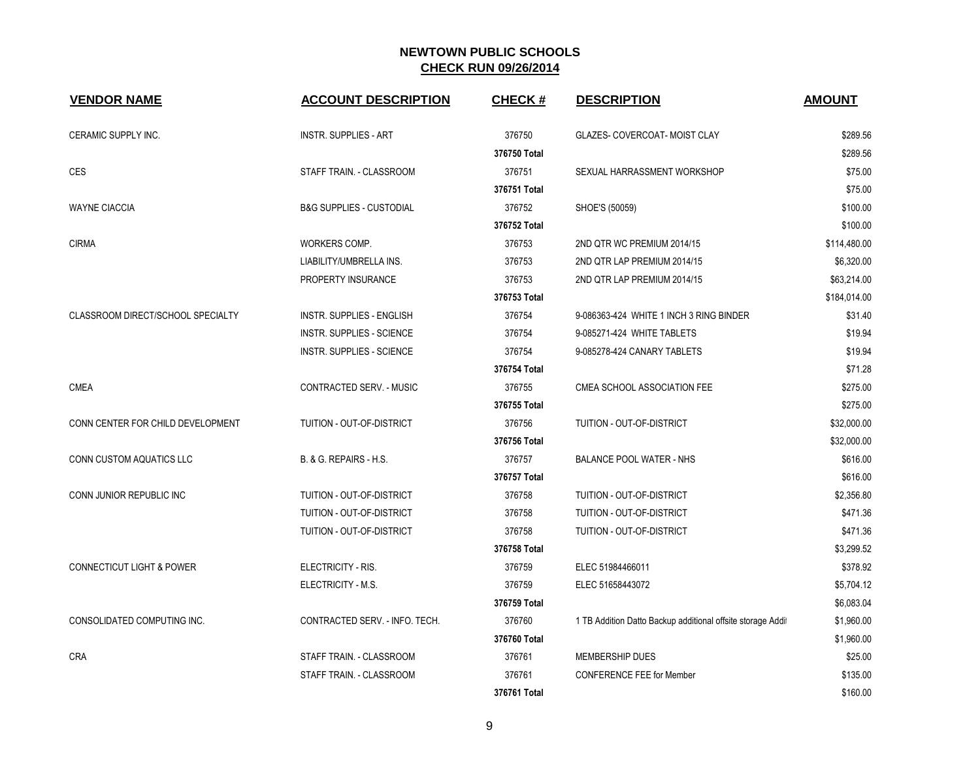| <b>VENDOR NAME</b>                   | <b>ACCOUNT DESCRIPTION</b>          | <b>CHECK#</b> | <b>DESCRIPTION</b>                                         | <b>AMOUNT</b> |
|--------------------------------------|-------------------------------------|---------------|------------------------------------------------------------|---------------|
| CERAMIC SUPPLY INC.                  | <b>INSTR. SUPPLIES - ART</b>        | 376750        | GLAZES- COVERCOAT- MOIST CLAY                              | \$289.56      |
|                                      |                                     | 376750 Total  |                                                            | \$289.56      |
| CES                                  | STAFF TRAIN. - CLASSROOM            | 376751        | SEXUAL HARRASSMENT WORKSHOP                                | \$75.00       |
|                                      |                                     | 376751 Total  |                                                            | \$75.00       |
| <b>WAYNE CIACCIA</b>                 | <b>B&amp;G SUPPLIES - CUSTODIAL</b> | 376752        | SHOE'S (50059)                                             | \$100.00      |
|                                      |                                     | 376752 Total  |                                                            | \$100.00      |
| <b>CIRMA</b>                         | WORKERS COMP.                       | 376753        | 2ND QTR WC PREMIUM 2014/15                                 | \$114,480.00  |
|                                      | LIABILITY/UMBRELLA INS.             | 376753        | 2ND QTR LAP PREMIUM 2014/15                                | \$6,320.00    |
|                                      | PROPERTY INSURANCE                  | 376753        | 2ND QTR LAP PREMIUM 2014/15                                | \$63,214.00   |
|                                      |                                     | 376753 Total  |                                                            | \$184,014.00  |
| CLASSROOM DIRECT/SCHOOL SPECIALTY    | INSTR. SUPPLIES - ENGLISH           | 376754        | 9-086363-424 WHITE 1 INCH 3 RING BINDER                    | \$31.40       |
|                                      | INSTR. SUPPLIES - SCIENCE           | 376754        | 9-085271-424 WHITE TABLETS                                 | \$19.94       |
|                                      | INSTR. SUPPLIES - SCIENCE           | 376754        | 9-085278-424 CANARY TABLETS                                | \$19.94       |
|                                      |                                     | 376754 Total  |                                                            | \$71.28       |
| <b>CMEA</b>                          | CONTRACTED SERV. - MUSIC            | 376755        | CMEA SCHOOL ASSOCIATION FEE                                | \$275.00      |
|                                      |                                     | 376755 Total  |                                                            | \$275.00      |
| CONN CENTER FOR CHILD DEVELOPMENT    | TUITION - OUT-OF-DISTRICT           | 376756        | TUITION - OUT-OF-DISTRICT                                  | \$32,000.00   |
|                                      |                                     | 376756 Total  |                                                            | \$32,000.00   |
| CONN CUSTOM AQUATICS LLC             | B. & G. REPAIRS - H.S.              | 376757        | <b>BALANCE POOL WATER - NHS</b>                            | \$616.00      |
|                                      |                                     | 376757 Total  |                                                            | \$616.00      |
| CONN JUNIOR REPUBLIC INC             | TUITION - OUT-OF-DISTRICT           | 376758        | TUITION - OUT-OF-DISTRICT                                  | \$2,356.80    |
|                                      | TUITION - OUT-OF-DISTRICT           | 376758        | TUITION - OUT-OF-DISTRICT                                  | \$471.36      |
|                                      | TUITION - OUT-OF-DISTRICT           | 376758        | TUITION - OUT-OF-DISTRICT                                  | \$471.36      |
|                                      |                                     | 376758 Total  |                                                            | \$3,299.52    |
| <b>CONNECTICUT LIGHT &amp; POWER</b> | ELECTRICITY - RIS.                  | 376759        | ELEC 51984466011                                           | \$378.92      |
|                                      | ELECTRICITY - M.S.                  | 376759        | ELEC 51658443072                                           | \$5,704.12    |
|                                      |                                     | 376759 Total  |                                                            | \$6,083.04    |
| CONSOLIDATED COMPUTING INC.          | CONTRACTED SERV. - INFO. TECH.      | 376760        | 1 TB Addition Datto Backup additional offsite storage Addi | \$1,960.00    |
|                                      |                                     | 376760 Total  |                                                            | \$1,960.00    |
| <b>CRA</b>                           | STAFF TRAIN. - CLASSROOM            | 376761        | MEMBERSHIP DUES                                            | \$25.00       |
|                                      | STAFF TRAIN. - CLASSROOM            | 376761        | <b>CONFERENCE FEE for Member</b>                           | \$135.00      |
|                                      |                                     | 376761 Total  |                                                            | \$160.00      |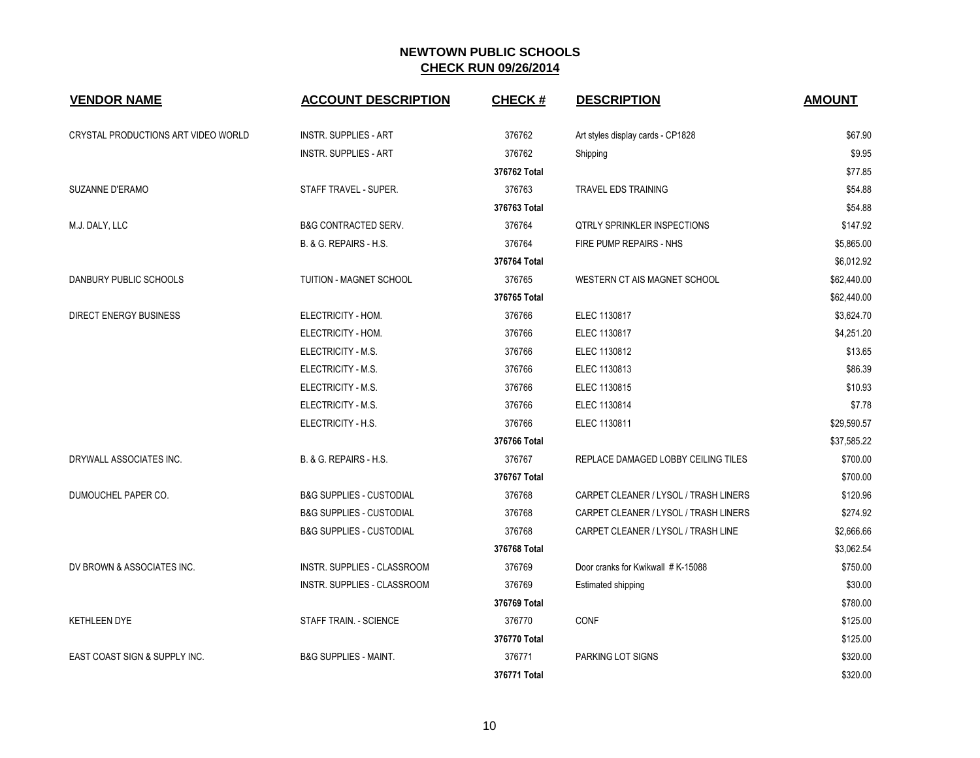| <b>VENDOR NAME</b>                       | <b>ACCOUNT DESCRIPTION</b>          | <b>CHECK#</b> | <b>DESCRIPTION</b>                    | <b>AMOUNT</b> |
|------------------------------------------|-------------------------------------|---------------|---------------------------------------|---------------|
| CRYSTAL PRODUCTIONS ART VIDEO WORLD      | <b>INSTR. SUPPLIES - ART</b>        | 376762        | Art styles display cards - CP1828     | \$67.90       |
|                                          | <b>INSTR. SUPPLIES - ART</b>        | 376762        | Shipping                              | \$9.95        |
|                                          |                                     | 376762 Total  |                                       | \$77.85       |
| SUZANNE D'ERAMO                          | STAFF TRAVEL - SUPER.               | 376763        | <b>TRAVEL EDS TRAINING</b>            | \$54.88       |
|                                          |                                     | 376763 Total  |                                       | \$54.88       |
| M.J. DALY, LLC                           | <b>B&amp;G CONTRACTED SERV.</b>     | 376764        | <b>QTRLY SPRINKLER INSPECTIONS</b>    | \$147.92      |
|                                          | B. & G. REPAIRS - H.S.              | 376764        | FIRE PUMP REPAIRS - NHS               | \$5,865.00    |
|                                          |                                     | 376764 Total  |                                       | \$6,012.92    |
| DANBURY PUBLIC SCHOOLS                   | <b>TUITION - MAGNET SCHOOL</b>      | 376765        | WESTERN CT AIS MAGNET SCHOOL          | \$62,440.00   |
|                                          |                                     | 376765 Total  |                                       | \$62,440.00   |
| <b>DIRECT ENERGY BUSINESS</b>            | ELECTRICITY - HOM.                  | 376766        | ELEC 1130817                          | \$3,624.70    |
|                                          | ELECTRICITY - HOM.                  | 376766        | ELEC 1130817                          | \$4,251.20    |
|                                          | ELECTRICITY - M.S.                  | 376766        | ELEC 1130812                          | \$13.65       |
|                                          | ELECTRICITY - M.S.                  | 376766        | ELEC 1130813                          | \$86.39       |
|                                          | ELECTRICITY - M.S.                  | 376766        | ELEC 1130815                          | \$10.93       |
|                                          | ELECTRICITY - M.S.                  | 376766        | ELEC 1130814                          | \$7.78        |
|                                          | ELECTRICITY - H.S.                  | 376766        | ELEC 1130811                          | \$29,590.57   |
|                                          |                                     | 376766 Total  |                                       | \$37,585.22   |
| DRYWALL ASSOCIATES INC.                  | B. & G. REPAIRS - H.S.              | 376767        | REPLACE DAMAGED LOBBY CEILING TILES   | \$700.00      |
|                                          |                                     | 376767 Total  |                                       | \$700.00      |
| DUMOUCHEL PAPER CO.                      | <b>B&amp;G SUPPLIES - CUSTODIAL</b> | 376768        | CARPET CLEANER / LYSOL / TRASH LINERS | \$120.96      |
|                                          | <b>B&amp;G SUPPLIES - CUSTODIAL</b> | 376768        | CARPET CLEANER / LYSOL / TRASH LINERS | \$274.92      |
|                                          | <b>B&amp;G SUPPLIES - CUSTODIAL</b> | 376768        | CARPET CLEANER / LYSOL / TRASH LINE   | \$2,666.66    |
|                                          |                                     | 376768 Total  |                                       | \$3,062.54    |
| DV BROWN & ASSOCIATES INC.               | INSTR. SUPPLIES - CLASSROOM         | 376769        | Door cranks for Kwikwall # K-15088    | \$750.00      |
|                                          | <b>INSTR. SUPPLIES - CLASSROOM</b>  | 376769        | Estimated shipping                    | \$30.00       |
|                                          |                                     | 376769 Total  |                                       | \$780.00      |
| <b>KETHLEEN DYE</b>                      | STAFF TRAIN. - SCIENCE              | 376770        | <b>CONF</b>                           | \$125.00      |
|                                          |                                     | 376770 Total  |                                       | \$125.00      |
| <b>EAST COAST SIGN &amp; SUPPLY INC.</b> | <b>B&amp;G SUPPLIES - MAINT.</b>    | 376771        | PARKING LOT SIGNS                     | \$320.00      |
|                                          |                                     | 376771 Total  |                                       | \$320.00      |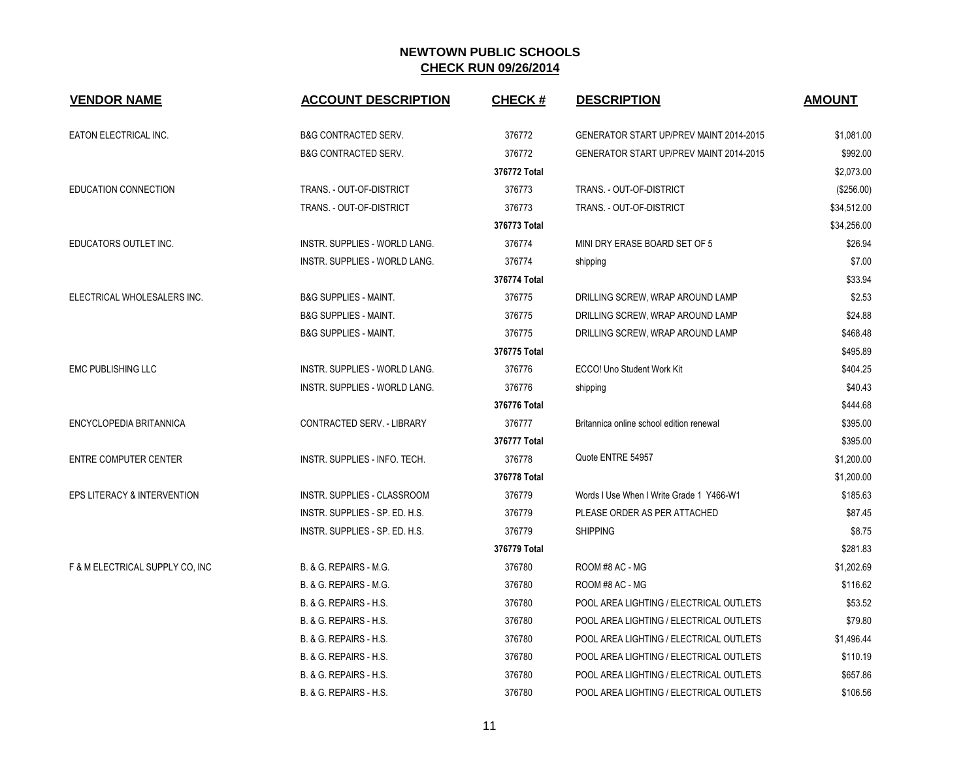| <b>VENDOR NAME</b>                     | <b>ACCOUNT DESCRIPTION</b>           | <b>CHECK#</b> | <b>DESCRIPTION</b>                             | <b>AMOUNT</b> |
|----------------------------------------|--------------------------------------|---------------|------------------------------------------------|---------------|
| EATON ELECTRICAL INC.                  | <b>B&amp;G CONTRACTED SERV.</b>      | 376772        | <b>GENERATOR START UP/PREV MAINT 2014-2015</b> | \$1,081.00    |
|                                        | <b>B&amp;G CONTRACTED SERV.</b>      | 376772        | GENERATOR START UP/PREV MAINT 2014-2015        | \$992.00      |
|                                        |                                      | 376772 Total  |                                                | \$2,073.00    |
| <b>EDUCATION CONNECTION</b>            | TRANS. - OUT-OF-DISTRICT             | 376773        | TRANS. - OUT-OF-DISTRICT                       | (\$256.00)    |
|                                        | TRANS. - OUT-OF-DISTRICT             | 376773        | TRANS. - OUT-OF-DISTRICT                       | \$34,512.00   |
|                                        |                                      | 376773 Total  |                                                | \$34,256.00   |
| EDUCATORS OUTLET INC.                  | <b>INSTR. SUPPLIES - WORLD LANG.</b> | 376774        | MINI DRY ERASE BOARD SET OF 5                  | \$26.94       |
|                                        | INSTR. SUPPLIES - WORLD LANG.        | 376774        | shipping                                       | \$7.00        |
|                                        |                                      | 376774 Total  |                                                | \$33.94       |
| ELECTRICAL WHOLESALERS INC.            | <b>B&amp;G SUPPLIES - MAINT.</b>     | 376775        | DRILLING SCREW, WRAP AROUND LAMP               | \$2.53        |
|                                        | <b>B&amp;G SUPPLIES - MAINT.</b>     | 376775        | DRILLING SCREW, WRAP AROUND LAMP               | \$24.88       |
|                                        | <b>B&amp;G SUPPLIES - MAINT.</b>     | 376775        | DRILLING SCREW, WRAP AROUND LAMP               | \$468.48      |
|                                        |                                      | 376775 Total  |                                                | \$495.89      |
| <b>EMC PUBLISHING LLC</b>              | INSTR. SUPPLIES - WORLD LANG.        | 376776        | ECCO! Uno Student Work Kit                     | \$404.25      |
|                                        | INSTR. SUPPLIES - WORLD LANG.        | 376776        | shipping                                       | \$40.43       |
|                                        |                                      | 376776 Total  |                                                | \$444.68      |
| ENCYCLOPEDIA BRITANNICA                | CONTRACTED SERV. - LIBRARY           | 376777        | Britannica online school edition renewal       | \$395.00      |
|                                        |                                      | 376777 Total  |                                                | \$395.00      |
| <b>ENTRE COMPUTER CENTER</b>           | INSTR. SUPPLIES - INFO. TECH.        | 376778        | Quote ENTRE 54957                              | \$1,200.00    |
|                                        |                                      | 376778 Total  |                                                | \$1,200.00    |
| <b>EPS LITERACY &amp; INTERVENTION</b> | <b>INSTR. SUPPLIES - CLASSROOM</b>   | 376779        | Words I Use When I Write Grade 1 Y466-W1       | \$185.63      |
|                                        | INSTR. SUPPLIES - SP. ED. H.S.       | 376779        | PLEASE ORDER AS PER ATTACHED                   | \$87.45       |
|                                        | INSTR. SUPPLIES - SP. ED. H.S.       | 376779        | <b>SHIPPING</b>                                | \$8.75        |
|                                        |                                      | 376779 Total  |                                                | \$281.83      |
| F & M ELECTRICAL SUPPLY CO, INC        | B. & G. REPAIRS - M.G.               | 376780        | ROOM #8 AC - MG                                | \$1,202.69    |
|                                        | B. & G. REPAIRS - M.G.               | 376780        | ROOM #8 AC - MG                                | \$116.62      |
|                                        | B. & G. REPAIRS - H.S.               | 376780        | POOL AREA LIGHTING / ELECTRICAL OUTLETS        | \$53.52       |
|                                        | B. & G. REPAIRS - H.S.               | 376780        | POOL AREA LIGHTING / ELECTRICAL OUTLETS        | \$79.80       |
|                                        | B. & G. REPAIRS - H.S.               | 376780        | POOL AREA LIGHTING / ELECTRICAL OUTLETS        | \$1,496.44    |
|                                        | B. & G. REPAIRS - H.S.               | 376780        | POOL AREA LIGHTING / ELECTRICAL OUTLETS        | \$110.19      |
|                                        | <b>B. &amp; G. REPAIRS - H.S.</b>    | 376780        | POOL AREA LIGHTING / ELECTRICAL OUTLETS        | \$657.86      |
|                                        | B. & G. REPAIRS - H.S.               | 376780        | POOL AREA LIGHTING / ELECTRICAL OUTLETS        | \$106.56      |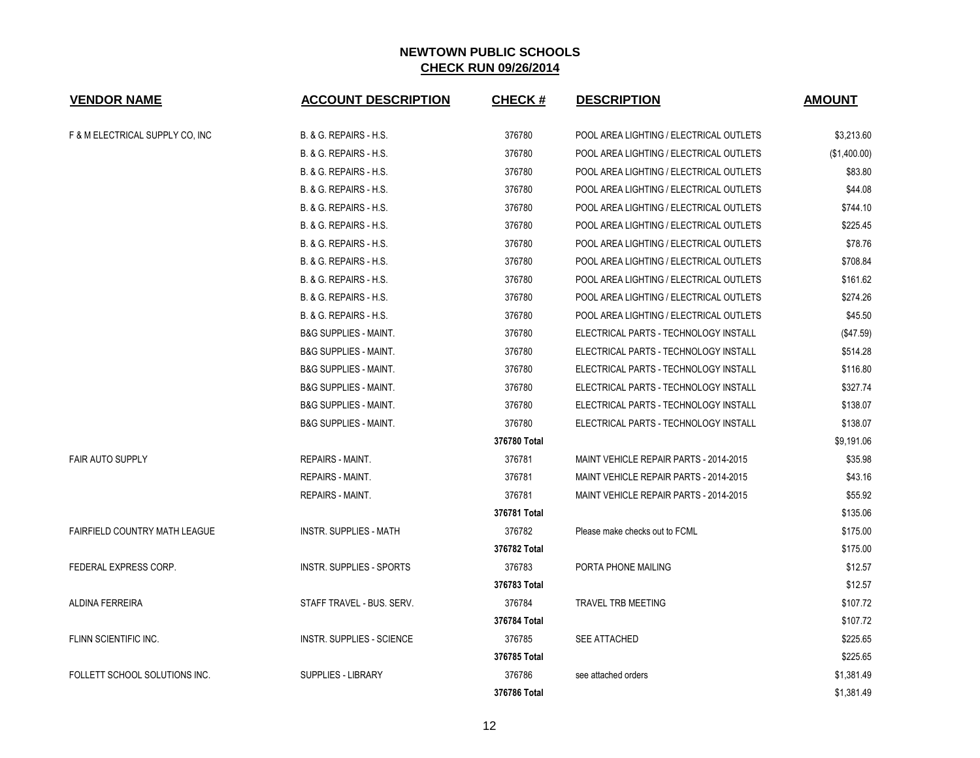| <b>VENDOR NAME</b>                   | <b>ACCOUNT DESCRIPTION</b>        | <b>CHECK#</b> | <b>DESCRIPTION</b>                      | <b>AMOUNT</b> |
|--------------------------------------|-----------------------------------|---------------|-----------------------------------------|---------------|
| F & M ELECTRICAL SUPPLY CO, INC      | <b>B. &amp; G. REPAIRS - H.S.</b> | 376780        | POOL AREA LIGHTING / ELECTRICAL OUTLETS | \$3,213.60    |
|                                      | B. & G. REPAIRS - H.S.            | 376780        | POOL AREA LIGHTING / ELECTRICAL OUTLETS | (\$1,400.00)  |
|                                      | B. & G. REPAIRS - H.S.            | 376780        | POOL AREA LIGHTING / ELECTRICAL OUTLETS | \$83.80       |
|                                      | <b>B. &amp; G. REPAIRS - H.S.</b> | 376780        | POOL AREA LIGHTING / ELECTRICAL OUTLETS | \$44.08       |
|                                      | B. & G. REPAIRS - H.S.            | 376780        | POOL AREA LIGHTING / ELECTRICAL OUTLETS | \$744.10      |
|                                      | <b>B. &amp; G. REPAIRS - H.S.</b> | 376780        | POOL AREA LIGHTING / ELECTRICAL OUTLETS | \$225.45      |
|                                      | B. & G. REPAIRS - H.S.            | 376780        | POOL AREA LIGHTING / ELECTRICAL OUTLETS | \$78.76       |
|                                      | B. & G. REPAIRS - H.S.            | 376780        | POOL AREA LIGHTING / ELECTRICAL OUTLETS | \$708.84      |
|                                      | B. & G. REPAIRS - H.S.            | 376780        | POOL AREA LIGHTING / ELECTRICAL OUTLETS | \$161.62      |
|                                      | B. & G. REPAIRS - H.S.            | 376780        | POOL AREA LIGHTING / ELECTRICAL OUTLETS | \$274.26      |
|                                      | B. & G. REPAIRS - H.S.            | 376780        | POOL AREA LIGHTING / ELECTRICAL OUTLETS | \$45.50       |
|                                      | <b>B&amp;G SUPPLIES - MAINT.</b>  | 376780        | ELECTRICAL PARTS - TECHNOLOGY INSTALL   | (\$47.59)     |
|                                      | <b>B&amp;G SUPPLIES - MAINT.</b>  | 376780        | ELECTRICAL PARTS - TECHNOLOGY INSTALL   | \$514.28      |
|                                      | <b>B&amp;G SUPPLIES - MAINT.</b>  | 376780        | ELECTRICAL PARTS - TECHNOLOGY INSTALL   | \$116.80      |
|                                      | <b>B&amp;G SUPPLIES - MAINT.</b>  | 376780        | ELECTRICAL PARTS - TECHNOLOGY INSTALL   | \$327.74      |
|                                      | <b>B&amp;G SUPPLIES - MAINT.</b>  | 376780        | ELECTRICAL PARTS - TECHNOLOGY INSTALL   | \$138.07      |
|                                      | <b>B&amp;G SUPPLIES - MAINT.</b>  | 376780        | ELECTRICAL PARTS - TECHNOLOGY INSTALL   | \$138.07      |
|                                      |                                   | 376780 Total  |                                         | \$9,191.06    |
| <b>FAIR AUTO SUPPLY</b>              | <b>REPAIRS - MAINT.</b>           | 376781        | MAINT VEHICLE REPAIR PARTS - 2014-2015  | \$35.98       |
|                                      | REPAIRS - MAINT.                  | 376781        | MAINT VEHICLE REPAIR PARTS - 2014-2015  | \$43.16       |
|                                      | <b>REPAIRS - MAINT.</b>           | 376781        | MAINT VEHICLE REPAIR PARTS - 2014-2015  | \$55.92       |
|                                      |                                   | 376781 Total  |                                         | \$135.06      |
| <b>FAIRFIELD COUNTRY MATH LEAGUE</b> | <b>INSTR. SUPPLIES - MATH</b>     | 376782        | Please make checks out to FCML          | \$175.00      |
|                                      |                                   | 376782 Total  |                                         | \$175.00      |
| FEDERAL EXPRESS CORP.                | <b>INSTR. SUPPLIES - SPORTS</b>   | 376783        | PORTA PHONE MAILING                     | \$12.57       |
|                                      |                                   | 376783 Total  |                                         | \$12.57       |
| <b>ALDINA FERREIRA</b>               | STAFF TRAVEL - BUS. SERV.         | 376784        | TRAVEL TRB MEETING                      | \$107.72      |
|                                      |                                   | 376784 Total  |                                         | \$107.72      |
| FLINN SCIENTIFIC INC.                | <b>INSTR. SUPPLIES - SCIENCE</b>  | 376785        | SEE ATTACHED                            | \$225.65      |
|                                      |                                   | 376785 Total  |                                         | \$225.65      |
| FOLLETT SCHOOL SOLUTIONS INC.        | <b>SUPPLIES - LIBRARY</b>         | 376786        | see attached orders                     | \$1,381.49    |
|                                      |                                   | 376786 Total  |                                         | \$1,381.49    |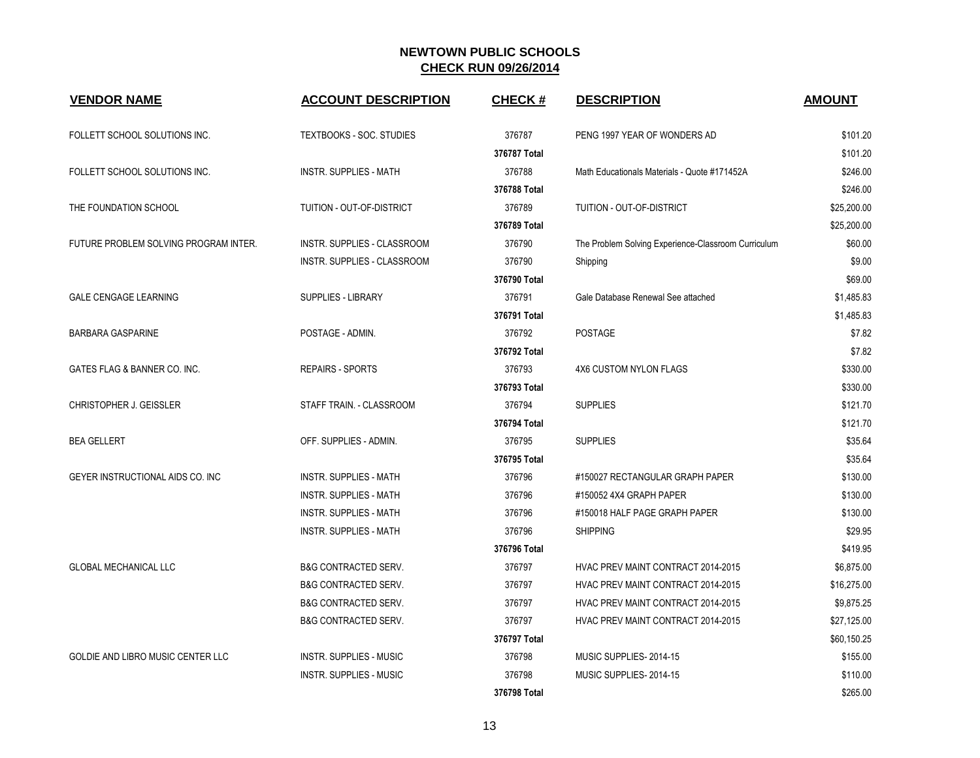| <b>VENDOR NAME</b>                    | <b>ACCOUNT DESCRIPTION</b>      | <b>CHECK#</b> | <b>DESCRIPTION</b>                                  | <b>AMOUNT</b> |
|---------------------------------------|---------------------------------|---------------|-----------------------------------------------------|---------------|
| FOLLETT SCHOOL SOLUTIONS INC.         | <b>TEXTBOOKS - SOC. STUDIES</b> | 376787        | PENG 1997 YEAR OF WONDERS AD                        | \$101.20      |
|                                       |                                 | 376787 Total  |                                                     | \$101.20      |
| FOLLETT SCHOOL SOLUTIONS INC.         | <b>INSTR. SUPPLIES - MATH</b>   | 376788        | Math Educationals Materials - Quote #171452A        | \$246.00      |
|                                       |                                 | 376788 Total  |                                                     | \$246.00      |
| THE FOUNDATION SCHOOL                 | TUITION - OUT-OF-DISTRICT       | 376789        | TUITION - OUT-OF-DISTRICT                           | \$25,200.00   |
|                                       |                                 | 376789 Total  |                                                     | \$25,200.00   |
| FUTURE PROBLEM SOLVING PROGRAM INTER. | INSTR. SUPPLIES - CLASSROOM     | 376790        | The Problem Solving Experience-Classroom Curriculum | \$60.00       |
|                                       | INSTR. SUPPLIES - CLASSROOM     | 376790        | Shipping                                            | \$9.00        |
|                                       |                                 | 376790 Total  |                                                     | \$69.00       |
| <b>GALE CENGAGE LEARNING</b>          | <b>SUPPLIES - LIBRARY</b>       | 376791        | Gale Database Renewal See attached                  | \$1,485.83    |
|                                       |                                 | 376791 Total  |                                                     | \$1,485.83    |
| <b>BARBARA GASPARINE</b>              | POSTAGE - ADMIN.                | 376792        | POSTAGE                                             | \$7.82        |
|                                       |                                 | 376792 Total  |                                                     | \$7.82        |
| GATES FLAG & BANNER CO. INC.          | <b>REPAIRS - SPORTS</b>         | 376793        | <b>4X6 CUSTOM NYLON FLAGS</b>                       | \$330.00      |
|                                       |                                 | 376793 Total  |                                                     | \$330.00      |
| CHRISTOPHER J. GEISSLER               | STAFF TRAIN. - CLASSROOM        | 376794        | <b>SUPPLIES</b>                                     | \$121.70      |
|                                       |                                 | 376794 Total  |                                                     | \$121.70      |
| <b>BEA GELLERT</b>                    | OFF. SUPPLIES - ADMIN.          | 376795        | <b>SUPPLIES</b>                                     | \$35.64       |
|                                       |                                 | 376795 Total  |                                                     | \$35.64       |
| GEYER INSTRUCTIONAL AIDS CO. INC      | <b>INSTR. SUPPLIES - MATH</b>   | 376796        | #150027 RECTANGULAR GRAPH PAPER                     | \$130.00      |
|                                       | <b>INSTR. SUPPLIES - MATH</b>   | 376796        | #150052 4X4 GRAPH PAPER                             | \$130.00      |
|                                       | <b>INSTR. SUPPLIES - MATH</b>   | 376796        | #150018 HALF PAGE GRAPH PAPER                       | \$130.00      |
|                                       | <b>INSTR. SUPPLIES - MATH</b>   | 376796        | <b>SHIPPING</b>                                     | \$29.95       |
|                                       |                                 | 376796 Total  |                                                     | \$419.95      |
| <b>GLOBAL MECHANICAL LLC</b>          | <b>B&amp;G CONTRACTED SERV.</b> | 376797        | HVAC PREV MAINT CONTRACT 2014-2015                  | \$6,875.00    |
|                                       | <b>B&amp;G CONTRACTED SERV.</b> | 376797        | HVAC PREV MAINT CONTRACT 2014-2015                  | \$16,275.00   |
|                                       | <b>B&amp;G CONTRACTED SERV.</b> | 376797        | HVAC PREV MAINT CONTRACT 2014-2015                  | \$9,875.25    |
|                                       | <b>B&amp;G CONTRACTED SERV.</b> | 376797        | HVAC PREV MAINT CONTRACT 2014-2015                  | \$27,125.00   |
|                                       |                                 | 376797 Total  |                                                     | \$60,150.25   |
| GOLDIE AND LIBRO MUSIC CENTER LLC     | <b>INSTR. SUPPLIES - MUSIC</b>  | 376798        | MUSIC SUPPLIES-2014-15                              | \$155.00      |
|                                       | <b>INSTR. SUPPLIES - MUSIC</b>  | 376798        | MUSIC SUPPLIES-2014-15                              | \$110.00      |
|                                       |                                 | 376798 Total  |                                                     | \$265.00      |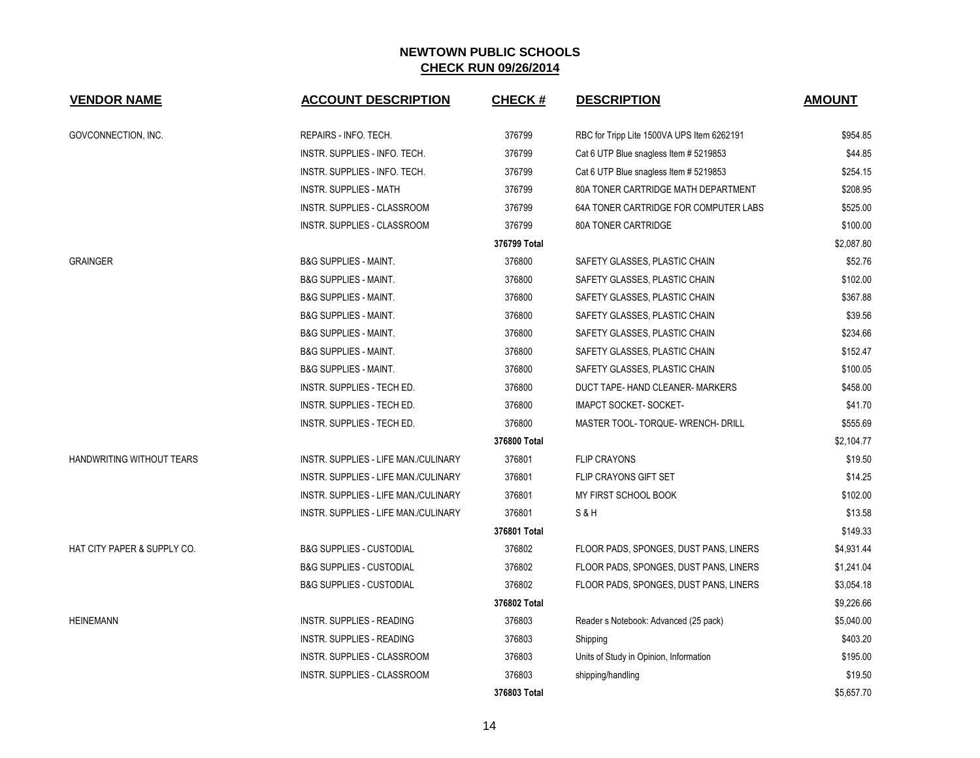| <b>VENDOR NAME</b>          | <b>ACCOUNT DESCRIPTION</b>           | <b>CHECK#</b> | <b>DESCRIPTION</b>                         | <b>AMOUNT</b> |
|-----------------------------|--------------------------------------|---------------|--------------------------------------------|---------------|
| GOVCONNECTION, INC.         | REPAIRS - INFO. TECH.                | 376799        | RBC for Tripp Lite 1500VA UPS Item 6262191 | \$954.85      |
|                             | INSTR. SUPPLIES - INFO. TECH.        | 376799        | Cat 6 UTP Blue snagless Item # 5219853     | \$44.85       |
|                             | INSTR. SUPPLIES - INFO. TECH.        | 376799        | Cat 6 UTP Blue snagless Item # 5219853     | \$254.15      |
|                             | <b>INSTR. SUPPLIES - MATH</b>        | 376799        | 80A TONER CARTRIDGE MATH DEPARTMENT        | \$208.95      |
|                             | INSTR. SUPPLIES - CLASSROOM          | 376799        | 64A TONER CARTRIDGE FOR COMPUTER LABS      | \$525.00      |
|                             | INSTR. SUPPLIES - CLASSROOM          | 376799        | 80A TONER CARTRIDGE                        | \$100.00      |
|                             |                                      | 376799 Total  |                                            | \$2,087.80    |
| <b>GRAINGER</b>             | <b>B&amp;G SUPPLIES - MAINT.</b>     | 376800        | SAFETY GLASSES, PLASTIC CHAIN              | \$52.76       |
|                             | <b>B&amp;G SUPPLIES - MAINT.</b>     | 376800        | SAFETY GLASSES, PLASTIC CHAIN              | \$102.00      |
|                             | <b>B&amp;G SUPPLIES - MAINT.</b>     | 376800        | SAFETY GLASSES, PLASTIC CHAIN              | \$367.88      |
|                             | <b>B&amp;G SUPPLIES - MAINT.</b>     | 376800        | SAFETY GLASSES, PLASTIC CHAIN              | \$39.56       |
|                             | <b>B&amp;G SUPPLIES - MAINT.</b>     | 376800        | SAFETY GLASSES, PLASTIC CHAIN              | \$234.66      |
|                             | <b>B&amp;G SUPPLIES - MAINT.</b>     | 376800        | SAFETY GLASSES, PLASTIC CHAIN              | \$152.47      |
|                             | <b>B&amp;G SUPPLIES - MAINT.</b>     | 376800        | SAFETY GLASSES, PLASTIC CHAIN              | \$100.05      |
|                             | INSTR. SUPPLIES - TECH ED.           | 376800        | DUCT TAPE- HAND CLEANER- MARKERS           | \$458.00      |
|                             | INSTR. SUPPLIES - TECH ED.           | 376800        | <b>IMAPCT SOCKET- SOCKET-</b>              | \$41.70       |
|                             | INSTR. SUPPLIES - TECH ED.           | 376800        | MASTER TOOL- TORQUE- WRENCH- DRILL         | \$555.69      |
|                             |                                      | 376800 Total  |                                            | \$2,104.77    |
| HANDWRITING WITHOUT TEARS   | INSTR. SUPPLIES - LIFE MAN./CULINARY | 376801        | <b>FLIP CRAYONS</b>                        | \$19.50       |
|                             | INSTR. SUPPLIES - LIFE MAN./CULINARY | 376801        | <b>FLIP CRAYONS GIFT SET</b>               | \$14.25       |
|                             | INSTR. SUPPLIES - LIFE MAN./CULINARY | 376801        | MY FIRST SCHOOL BOOK                       | \$102.00      |
|                             | INSTR. SUPPLIES - LIFE MAN./CULINARY | 376801        | S&H                                        | \$13.58       |
|                             |                                      | 376801 Total  |                                            | \$149.33      |
| HAT CITY PAPER & SUPPLY CO. | <b>B&amp;G SUPPLIES - CUSTODIAL</b>  | 376802        | FLOOR PADS, SPONGES, DUST PANS, LINERS     | \$4,931.44    |
|                             | <b>B&amp;G SUPPLIES - CUSTODIAL</b>  | 376802        | FLOOR PADS, SPONGES, DUST PANS, LINERS     | \$1,241.04    |
|                             | <b>B&amp;G SUPPLIES - CUSTODIAL</b>  | 376802        | FLOOR PADS, SPONGES, DUST PANS, LINERS     | \$3,054.18    |
|                             |                                      | 376802 Total  |                                            | \$9,226.66    |
| <b>HEINEMANN</b>            | <b>INSTR. SUPPLIES - READING</b>     | 376803        | Reader s Notebook: Advanced (25 pack)      | \$5,040.00    |
|                             | INSTR. SUPPLIES - READING            | 376803        | Shipping                                   | \$403.20      |
|                             | INSTR. SUPPLIES - CLASSROOM          | 376803        | Units of Study in Opinion, Information     | \$195.00      |
|                             | INSTR. SUPPLIES - CLASSROOM          | 376803        | shipping/handling                          | \$19.50       |
|                             |                                      | 376803 Total  |                                            | \$5,657.70    |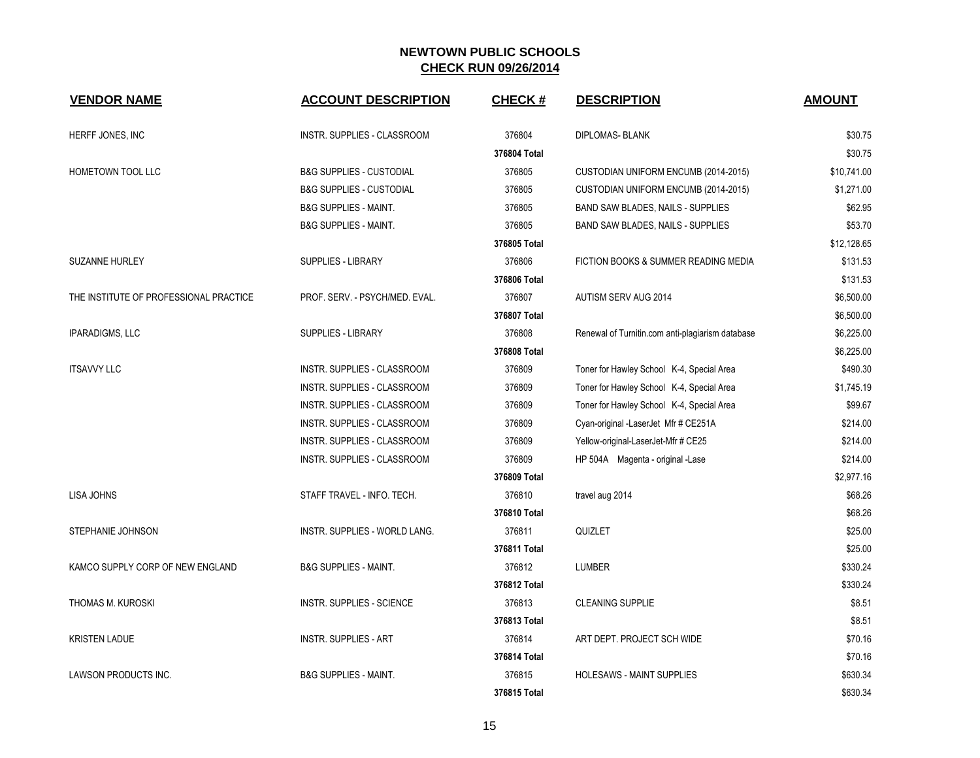| <b>VENDOR NAME</b>                     | <b>ACCOUNT DESCRIPTION</b>          | <b>CHECK#</b> | <b>DESCRIPTION</b>                               | <b>AMOUNT</b> |
|----------------------------------------|-------------------------------------|---------------|--------------------------------------------------|---------------|
| HERFF JONES, INC                       | INSTR. SUPPLIES - CLASSROOM         | 376804        | <b>DIPLOMAS- BLANK</b>                           | \$30.75       |
|                                        |                                     | 376804 Total  |                                                  | \$30.75       |
| HOMETOWN TOOL LLC                      | <b>B&amp;G SUPPLIES - CUSTODIAL</b> | 376805        | CUSTODIAN UNIFORM ENCUMB (2014-2015)             | \$10,741.00   |
|                                        | <b>B&amp;G SUPPLIES - CUSTODIAL</b> | 376805        | CUSTODIAN UNIFORM ENCUMB (2014-2015)             | \$1,271.00    |
|                                        | <b>B&amp;G SUPPLIES - MAINT.</b>    | 376805        | BAND SAW BLADES, NAILS - SUPPLIES                | \$62.95       |
|                                        | <b>B&amp;G SUPPLIES - MAINT.</b>    | 376805        | BAND SAW BLADES, NAILS - SUPPLIES                | \$53.70       |
|                                        |                                     | 376805 Total  |                                                  | \$12,128.65   |
| <b>SUZANNE HURLEY</b>                  | <b>SUPPLIES - LIBRARY</b>           | 376806        | FICTION BOOKS & SUMMER READING MEDIA             | \$131.53      |
|                                        |                                     | 376806 Total  |                                                  | \$131.53      |
| THE INSTITUTE OF PROFESSIONAL PRACTICE | PROF. SERV. - PSYCH/MED. EVAL.      | 376807        | AUTISM SERV AUG 2014                             | \$6,500.00    |
|                                        |                                     | 376807 Total  |                                                  | \$6,500.00    |
| <b>IPARADIGMS, LLC</b>                 | <b>SUPPLIES - LIBRARY</b>           | 376808        | Renewal of Turnitin.com anti-plagiarism database | \$6,225.00    |
|                                        |                                     | 376808 Total  |                                                  | \$6,225.00    |
| <b>ITSAVVY LLC</b>                     | INSTR. SUPPLIES - CLASSROOM         | 376809        | Toner for Hawley School K-4, Special Area        | \$490.30      |
|                                        | INSTR. SUPPLIES - CLASSROOM         | 376809        | Toner for Hawley School K-4, Special Area        | \$1,745.19    |
|                                        | INSTR. SUPPLIES - CLASSROOM         | 376809        | Toner for Hawley School K-4, Special Area        | \$99.67       |
|                                        | INSTR. SUPPLIES - CLASSROOM         | 376809        | Cyan-original -LaserJet Mfr # CE251A             | \$214.00      |
|                                        | INSTR. SUPPLIES - CLASSROOM         | 376809        | Yellow-original-LaserJet-Mfr # CE25              | \$214.00      |
|                                        | INSTR. SUPPLIES - CLASSROOM         | 376809        | HP 504A Magenta - original -Lase                 | \$214.00      |
|                                        |                                     | 376809 Total  |                                                  | \$2,977.16    |
| LISA JOHNS                             | STAFF TRAVEL - INFO. TECH.          | 376810        | travel aug 2014                                  | \$68.26       |
|                                        |                                     | 376810 Total  |                                                  | \$68.26       |
| STEPHANIE JOHNSON                      | INSTR. SUPPLIES - WORLD LANG.       | 376811        | QUIZLET                                          | \$25.00       |
|                                        |                                     | 376811 Total  |                                                  | \$25.00       |
| KAMCO SUPPLY CORP OF NEW ENGLAND       | <b>B&amp;G SUPPLIES - MAINT.</b>    | 376812        | <b>LUMBER</b>                                    | \$330.24      |
|                                        |                                     | 376812 Total  |                                                  | \$330.24      |
| THOMAS M. KUROSKI                      | <b>INSTR. SUPPLIES - SCIENCE</b>    | 376813        | <b>CLEANING SUPPLIE</b>                          | \$8.51        |
|                                        |                                     | 376813 Total  |                                                  | \$8.51        |
| <b>KRISTEN LADUE</b>                   | <b>INSTR. SUPPLIES - ART</b>        | 376814        | ART DEPT. PROJECT SCH WIDE                       | \$70.16       |
|                                        |                                     | 376814 Total  |                                                  | \$70.16       |
| LAWSON PRODUCTS INC.                   | <b>B&amp;G SUPPLIES - MAINT.</b>    | 376815        | <b>HOLESAWS - MAINT SUPPLIES</b>                 | \$630.34      |
|                                        |                                     | 376815 Total  |                                                  | \$630.34      |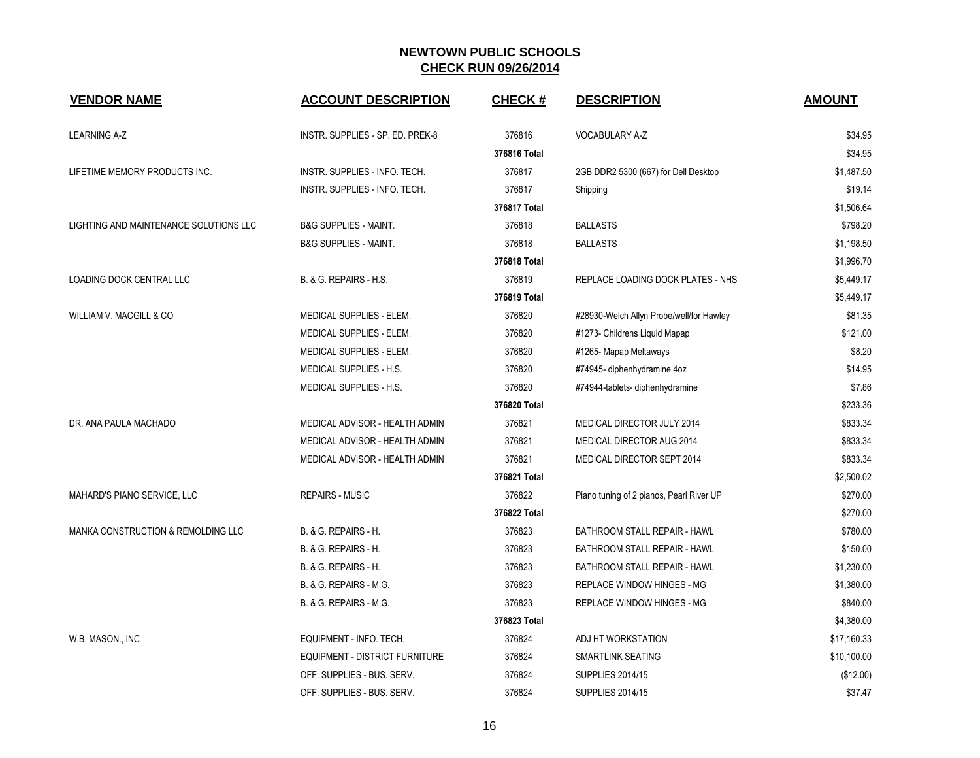| <b>VENDOR NAME</b>                     | <b>ACCOUNT DESCRIPTION</b>       | <b>CHECK#</b> | <b>DESCRIPTION</b>                       | <b>AMOUNT</b> |
|----------------------------------------|----------------------------------|---------------|------------------------------------------|---------------|
| <b>LEARNING A-Z</b>                    | INSTR. SUPPLIES - SP. ED. PREK-8 | 376816        | VOCABULARY A-Z                           | \$34.95       |
|                                        |                                  | 376816 Total  |                                          | \$34.95       |
| LIFETIME MEMORY PRODUCTS INC.          | INSTR. SUPPLIES - INFO. TECH.    | 376817        | 2GB DDR2 5300 (667) for Dell Desktop     | \$1,487.50    |
|                                        | INSTR. SUPPLIES - INFO. TECH.    | 376817        | Shipping                                 | \$19.14       |
|                                        |                                  | 376817 Total  |                                          | \$1,506.64    |
| LIGHTING AND MAINTENANCE SOLUTIONS LLC | <b>B&amp;G SUPPLIES - MAINT.</b> | 376818        | <b>BALLASTS</b>                          | \$798.20      |
|                                        | <b>B&amp;G SUPPLIES - MAINT.</b> | 376818        | <b>BALLASTS</b>                          | \$1,198.50    |
|                                        |                                  | 376818 Total  |                                          | \$1,996.70    |
| LOADING DOCK CENTRAL LLC               | B. & G. REPAIRS - H.S.           | 376819        | REPLACE LOADING DOCK PLATES - NHS        | \$5,449.17    |
|                                        |                                  | 376819 Total  |                                          | \$5,449.17    |
| WILLIAM V. MACGILL & CO                | <b>MEDICAL SUPPLIES - ELEM.</b>  | 376820        | #28930-Welch Allyn Probe/well/for Hawley | \$81.35       |
|                                        | MEDICAL SUPPLIES - ELEM.         | 376820        | #1273- Childrens Liquid Mapap            | \$121.00      |
|                                        | MEDICAL SUPPLIES - ELEM.         | 376820        | #1265- Mapap Meltaways                   | \$8.20        |
|                                        | MEDICAL SUPPLIES - H.S.          | 376820        | #74945- diphenhydramine 4oz              | \$14.95       |
|                                        | MEDICAL SUPPLIES - H.S.          | 376820        | #74944-tablets-diphenhydramine           | \$7.86        |
|                                        |                                  | 376820 Total  |                                          | \$233.36      |
| DR. ANA PAULA MACHADO                  | MEDICAL ADVISOR - HEALTH ADMIN   | 376821        | MEDICAL DIRECTOR JULY 2014               | \$833.34      |
|                                        | MEDICAL ADVISOR - HEALTH ADMIN   | 376821        | MEDICAL DIRECTOR AUG 2014                | \$833.34      |
|                                        | MEDICAL ADVISOR - HEALTH ADMIN   | 376821        | MEDICAL DIRECTOR SEPT 2014               | \$833.34      |
|                                        |                                  | 376821 Total  |                                          | \$2,500.02    |
| MAHARD'S PIANO SERVICE, LLC            | <b>REPAIRS - MUSIC</b>           | 376822        | Piano tuning of 2 pianos, Pearl River UP | \$270.00      |
|                                        |                                  | 376822 Total  |                                          | \$270.00      |
| MANKA CONSTRUCTION & REMOLDING LLC     | B. & G. REPAIRS - H.             | 376823        | BATHROOM STALL REPAIR - HAWL             | \$780.00      |
|                                        | B. & G. REPAIRS - H.             | 376823        | BATHROOM STALL REPAIR - HAWL             | \$150.00      |
|                                        | B. & G. REPAIRS - H.             | 376823        | BATHROOM STALL REPAIR - HAWL             | \$1,230.00    |
|                                        | B. & G. REPAIRS - M.G.           | 376823        | REPLACE WINDOW HINGES - MG               | \$1,380.00    |
|                                        | B. & G. REPAIRS - M.G.           | 376823        | <b>REPLACE WINDOW HINGES - MG</b>        | \$840.00      |
|                                        |                                  | 376823 Total  |                                          | \$4,380.00    |
| W.B. MASON., INC                       | EQUIPMENT - INFO. TECH.          | 376824        | ADJ HT WORKSTATION                       | \$17,160.33   |
|                                        | EQUIPMENT - DISTRICT FURNITURE   | 376824        | SMARTLINK SEATING                        | \$10,100.00   |
|                                        | OFF. SUPPLIES - BUS. SERV.       | 376824        | <b>SUPPLIES 2014/15</b>                  | (\$12.00)     |
|                                        | OFF. SUPPLIES - BUS. SERV.       | 376824        | <b>SUPPLIES 2014/15</b>                  | \$37.47       |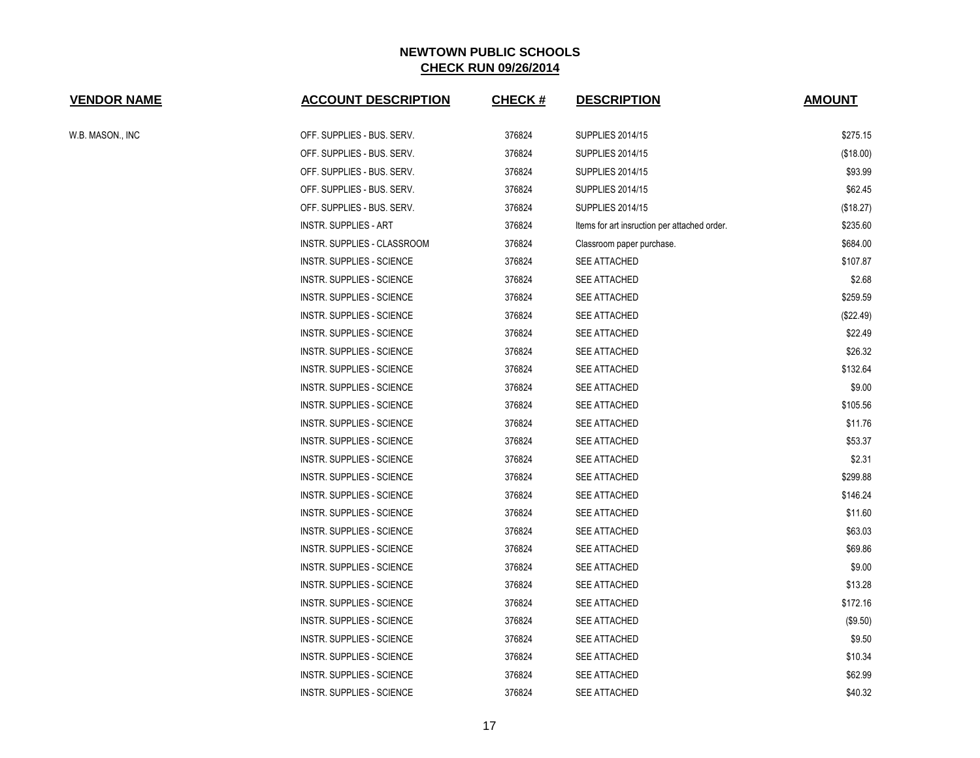| <b>VENDOR NAME</b> | <b>ACCOUNT DESCRIPTION</b>       | <b>CHECK#</b> | <b>DESCRIPTION</b>                           | <b>AMOUNT</b> |
|--------------------|----------------------------------|---------------|----------------------------------------------|---------------|
| W.B. MASON., INC   | OFF. SUPPLIES - BUS. SERV.       | 376824        | <b>SUPPLIES 2014/15</b>                      | \$275.15      |
|                    | OFF. SUPPLIES - BUS. SERV.       | 376824        | <b>SUPPLIES 2014/15</b>                      | (\$18.00)     |
|                    | OFF. SUPPLIES - BUS. SERV.       | 376824        | <b>SUPPLIES 2014/15</b>                      | \$93.99       |
|                    | OFF. SUPPLIES - BUS. SERV.       | 376824        | <b>SUPPLIES 2014/15</b>                      | \$62.45       |
|                    | OFF. SUPPLIES - BUS. SERV.       | 376824        | <b>SUPPLIES 2014/15</b>                      | (\$18.27)     |
|                    | <b>INSTR. SUPPLIES - ART</b>     | 376824        | Items for art insruction per attached order. | \$235.60      |
|                    | INSTR. SUPPLIES - CLASSROOM      | 376824        | Classroom paper purchase.                    | \$684.00      |
|                    | <b>INSTR. SUPPLIES - SCIENCE</b> | 376824        | <b>SEE ATTACHED</b>                          | \$107.87      |
|                    | <b>INSTR. SUPPLIES - SCIENCE</b> | 376824        | SEE ATTACHED                                 | \$2.68        |
|                    | INSTR. SUPPLIES - SCIENCE        | 376824        | SEE ATTACHED                                 | \$259.59      |
|                    | <b>INSTR. SUPPLIES - SCIENCE</b> | 376824        | SEE ATTACHED                                 | (\$22.49)     |
|                    | <b>INSTR. SUPPLIES - SCIENCE</b> | 376824        | <b>SEE ATTACHED</b>                          | \$22.49       |
|                    | <b>INSTR. SUPPLIES - SCIENCE</b> | 376824        | <b>SEE ATTACHED</b>                          | \$26.32       |
|                    | INSTR. SUPPLIES - SCIENCE        | 376824        | SEE ATTACHED                                 | \$132.64      |
|                    | <b>INSTR. SUPPLIES - SCIENCE</b> | 376824        | SEE ATTACHED                                 | \$9.00        |
|                    | <b>INSTR. SUPPLIES - SCIENCE</b> | 376824        | <b>SEE ATTACHED</b>                          | \$105.56      |
|                    | <b>INSTR. SUPPLIES - SCIENCE</b> | 376824        | <b>SEE ATTACHED</b>                          | \$11.76       |
|                    | <b>INSTR. SUPPLIES - SCIENCE</b> | 376824        | SEE ATTACHED                                 | \$53.37       |
|                    | INSTR. SUPPLIES - SCIENCE        | 376824        | SEE ATTACHED                                 | \$2.31        |
|                    | <b>INSTR. SUPPLIES - SCIENCE</b> | 376824        | <b>SEE ATTACHED</b>                          | \$299.88      |
|                    | <b>INSTR. SUPPLIES - SCIENCE</b> | 376824        | <b>SEE ATTACHED</b>                          | \$146.24      |
|                    | <b>INSTR. SUPPLIES - SCIENCE</b> | 376824        | SEE ATTACHED                                 | \$11.60       |
|                    | <b>INSTR. SUPPLIES - SCIENCE</b> | 376824        | SEE ATTACHED                                 | \$63.03       |
|                    | <b>INSTR. SUPPLIES - SCIENCE</b> | 376824        | SEE ATTACHED                                 | \$69.86       |
|                    | <b>INSTR. SUPPLIES - SCIENCE</b> | 376824        | SEE ATTACHED                                 | \$9.00        |
|                    | <b>INSTR. SUPPLIES - SCIENCE</b> | 376824        | <b>SEE ATTACHED</b>                          | \$13.28       |
|                    | <b>INSTR. SUPPLIES - SCIENCE</b> | 376824        | SEE ATTACHED                                 | \$172.16      |
|                    | <b>INSTR. SUPPLIES - SCIENCE</b> | 376824        | <b>SEE ATTACHED</b>                          | (\$9.50)      |
|                    | INSTR. SUPPLIES - SCIENCE        | 376824        | SEE ATTACHED                                 | \$9.50        |
|                    | <b>INSTR. SUPPLIES - SCIENCE</b> | 376824        | SEE ATTACHED                                 | \$10.34       |
|                    | INSTR. SUPPLIES - SCIENCE        | 376824        | <b>SEE ATTACHED</b>                          | \$62.99       |
|                    | <b>INSTR. SUPPLIES - SCIENCE</b> | 376824        | <b>SEE ATTACHED</b>                          | \$40.32       |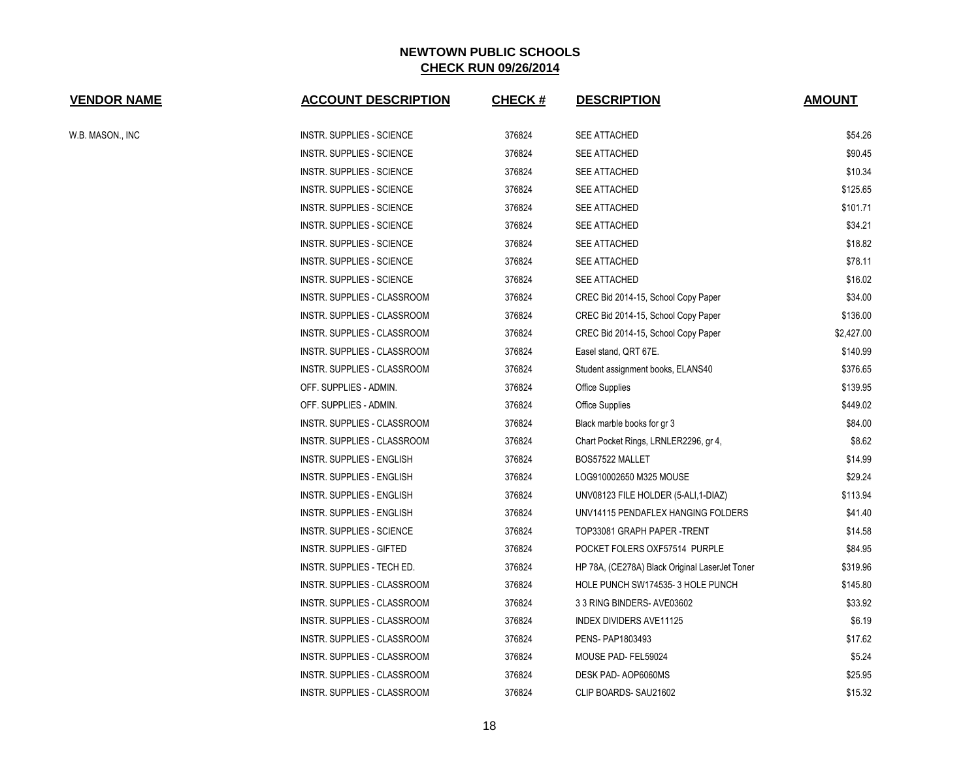| <b>VENDOR NAME</b> | <b>ACCOUNT DESCRIPTION</b>       | <b>CHECK#</b> | <b>DESCRIPTION</b>                             | <b>AMOUNT</b> |
|--------------------|----------------------------------|---------------|------------------------------------------------|---------------|
| W.B. MASON., INC   | <b>INSTR. SUPPLIES - SCIENCE</b> | 376824        | SEE ATTACHED                                   | \$54.26       |
|                    | INSTR. SUPPLIES - SCIENCE        | 376824        | SEE ATTACHED                                   | \$90.45       |
|                    | INSTR. SUPPLIES - SCIENCE        | 376824        | SEE ATTACHED                                   | \$10.34       |
|                    | INSTR. SUPPLIES - SCIENCE        | 376824        | SEE ATTACHED                                   | \$125.65      |
|                    | INSTR. SUPPLIES - SCIENCE        | 376824        | SEE ATTACHED                                   | \$101.71      |
|                    | <b>INSTR. SUPPLIES - SCIENCE</b> | 376824        | SEE ATTACHED                                   | \$34.21       |
|                    | INSTR. SUPPLIES - SCIENCE        | 376824        | SEE ATTACHED                                   | \$18.82       |
|                    | <b>INSTR. SUPPLIES - SCIENCE</b> | 376824        | SEE ATTACHED                                   | \$78.11       |
|                    | INSTR. SUPPLIES - SCIENCE        | 376824        | SEE ATTACHED                                   | \$16.02       |
|                    | INSTR. SUPPLIES - CLASSROOM      | 376824        | CREC Bid 2014-15, School Copy Paper            | \$34.00       |
|                    | INSTR. SUPPLIES - CLASSROOM      | 376824        | CREC Bid 2014-15, School Copy Paper            | \$136.00      |
|                    | INSTR. SUPPLIES - CLASSROOM      | 376824        | CREC Bid 2014-15, School Copy Paper            | \$2,427.00    |
|                    | INSTR. SUPPLIES - CLASSROOM      | 376824        | Easel stand, QRT 67E.                          | \$140.99      |
|                    | INSTR. SUPPLIES - CLASSROOM      | 376824        | Student assignment books, ELANS40              | \$376.65      |
|                    | OFF. SUPPLIES - ADMIN.           | 376824        | <b>Office Supplies</b>                         | \$139.95      |
|                    | OFF. SUPPLIES - ADMIN.           | 376824        | <b>Office Supplies</b>                         | \$449.02      |
|                    | INSTR. SUPPLIES - CLASSROOM      | 376824        | Black marble books for gr 3                    | \$84.00       |
|                    | INSTR. SUPPLIES - CLASSROOM      | 376824        | Chart Pocket Rings, LRNLER2296, gr 4,          | \$8.62        |
|                    | INSTR. SUPPLIES - ENGLISH        | 376824        | BOS57522 MALLET                                | \$14.99       |
|                    | INSTR. SUPPLIES - ENGLISH        | 376824        | LOG910002650 M325 MOUSE                        | \$29.24       |
|                    | INSTR. SUPPLIES - ENGLISH        | 376824        | UNV08123 FILE HOLDER (5-ALI, 1-DIAZ)           | \$113.94      |
|                    | INSTR. SUPPLIES - ENGLISH        | 376824        | UNV14115 PENDAFLEX HANGING FOLDERS             | \$41.40       |
|                    | INSTR. SUPPLIES - SCIENCE        | 376824        | TOP33081 GRAPH PAPER -TRENT                    | \$14.58       |
|                    | INSTR. SUPPLIES - GIFTED         | 376824        | POCKET FOLERS OXF57514 PURPLE                  | \$84.95       |
|                    | INSTR. SUPPLIES - TECH ED.       | 376824        | HP 78A, (CE278A) Black Original LaserJet Toner | \$319.96      |
|                    | INSTR. SUPPLIES - CLASSROOM      | 376824        | HOLE PUNCH SW174535-3 HOLE PUNCH               | \$145.80      |
|                    | INSTR. SUPPLIES - CLASSROOM      | 376824        | 3 3 RING BINDERS- AVE03602                     | \$33.92       |
|                    | INSTR. SUPPLIES - CLASSROOM      | 376824        | <b>INDEX DIVIDERS AVE11125</b>                 | \$6.19        |
|                    | INSTR. SUPPLIES - CLASSROOM      | 376824        | PENS- PAP1803493                               | \$17.62       |
|                    | INSTR. SUPPLIES - CLASSROOM      | 376824        | MOUSE PAD-FEL59024                             | \$5.24        |
|                    | INSTR. SUPPLIES - CLASSROOM      | 376824        | DESK PAD-AOP6060MS                             | \$25.95       |
|                    | INSTR. SUPPLIES - CLASSROOM      | 376824        | CLIP BOARDS-SAU21602                           | \$15.32       |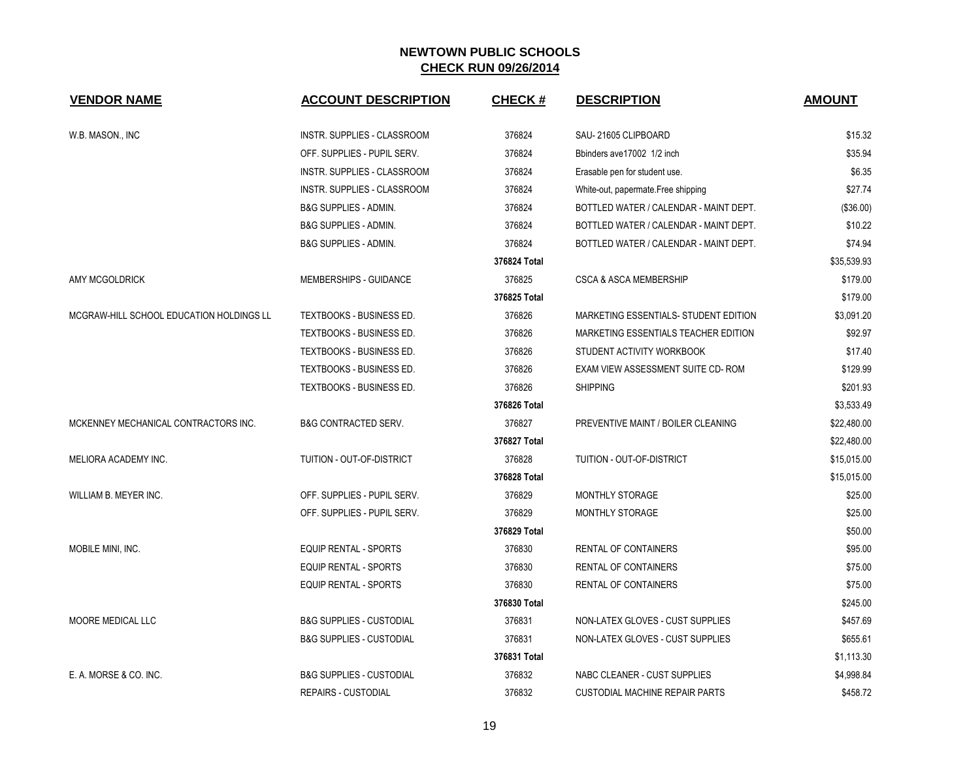| <b>VENDOR NAME</b>                       | <b>ACCOUNT DESCRIPTION</b>          | <b>CHECK#</b> | <b>DESCRIPTION</b>                     | <b>AMOUNT</b> |
|------------------------------------------|-------------------------------------|---------------|----------------------------------------|---------------|
| W.B. MASON., INC                         | <b>INSTR. SUPPLIES - CLASSROOM</b>  | 376824        | SAU-21605 CLIPBOARD                    | \$15.32       |
|                                          | OFF. SUPPLIES - PUPIL SERV.         | 376824        | Bbinders ave17002 1/2 inch             | \$35.94       |
|                                          | INSTR. SUPPLIES - CLASSROOM         | 376824        | Erasable pen for student use.          | \$6.35        |
|                                          | INSTR. SUPPLIES - CLASSROOM         | 376824        | White-out, papermate. Free shipping    | \$27.74       |
|                                          | B&G SUPPLIES - ADMIN.               | 376824        | BOTTLED WATER / CALENDAR - MAINT DEPT. | (\$36.00)     |
|                                          | <b>B&amp;G SUPPLIES - ADMIN.</b>    | 376824        | BOTTLED WATER / CALENDAR - MAINT DEPT. | \$10.22       |
|                                          | <b>B&amp;G SUPPLIES - ADMIN.</b>    | 376824        | BOTTLED WATER / CALENDAR - MAINT DEPT. | \$74.94       |
|                                          |                                     | 376824 Total  |                                        | \$35,539.93   |
| AMY MCGOLDRICK                           | MEMBERSHIPS - GUIDANCE              | 376825        | <b>CSCA &amp; ASCA MEMBERSHIP</b>      | \$179.00      |
|                                          |                                     | 376825 Total  |                                        | \$179.00      |
| MCGRAW-HILL SCHOOL EDUCATION HOLDINGS LL | TEXTBOOKS - BUSINESS ED.            | 376826        | MARKETING ESSENTIALS- STUDENT EDITION  | \$3,091.20    |
|                                          | <b>TEXTBOOKS - BUSINESS ED.</b>     | 376826        | MARKETING ESSENTIALS TEACHER EDITION   | \$92.97       |
|                                          | TEXTBOOKS - BUSINESS ED.            | 376826        | STUDENT ACTIVITY WORKBOOK              | \$17.40       |
|                                          | TEXTBOOKS - BUSINESS ED.            | 376826        | EXAM VIEW ASSESSMENT SUITE CD-ROM      | \$129.99      |
|                                          | TEXTBOOKS - BUSINESS ED.            | 376826        | <b>SHIPPING</b>                        | \$201.93      |
|                                          |                                     | 376826 Total  |                                        | \$3,533.49    |
| MCKENNEY MECHANICAL CONTRACTORS INC.     | <b>B&amp;G CONTRACTED SERV.</b>     | 376827        | PREVENTIVE MAINT / BOILER CLEANING     | \$22,480.00   |
|                                          |                                     | 376827 Total  |                                        | \$22,480.00   |
| MELIORA ACADEMY INC.                     | TUITION - OUT-OF-DISTRICT           | 376828        | TUITION - OUT-OF-DISTRICT              | \$15,015.00   |
|                                          |                                     | 376828 Total  |                                        | \$15,015.00   |
| WILLIAM B. MEYER INC.                    | OFF. SUPPLIES - PUPIL SERV.         | 376829        | MONTHLY STORAGE                        | \$25.00       |
|                                          | OFF. SUPPLIES - PUPIL SERV.         | 376829        | MONTHLY STORAGE                        | \$25.00       |
|                                          |                                     | 376829 Total  |                                        | \$50.00       |
| MOBILE MINI, INC.                        | <b>EQUIP RENTAL - SPORTS</b>        | 376830        | <b>RENTAL OF CONTAINERS</b>            | \$95.00       |
|                                          | <b>EQUIP RENTAL - SPORTS</b>        | 376830        | <b>RENTAL OF CONTAINERS</b>            | \$75.00       |
|                                          | <b>EQUIP RENTAL - SPORTS</b>        | 376830        | RENTAL OF CONTAINERS                   | \$75.00       |
|                                          |                                     | 376830 Total  |                                        | \$245.00      |
| <b>MOORE MEDICAL LLC</b>                 | <b>B&amp;G SUPPLIES - CUSTODIAL</b> | 376831        | NON-LATEX GLOVES - CUST SUPPLIES       | \$457.69      |
|                                          | <b>B&amp;G SUPPLIES - CUSTODIAL</b> | 376831        | NON-LATEX GLOVES - CUST SUPPLIES       | \$655.61      |
|                                          |                                     | 376831 Total  |                                        | \$1,113.30    |
| E. A. MORSE & CO. INC.                   | <b>B&amp;G SUPPLIES - CUSTODIAL</b> | 376832        | NABC CLEANER - CUST SUPPLIES           | \$4,998.84    |
|                                          | <b>REPAIRS - CUSTODIAL</b>          | 376832        | <b>CUSTODIAL MACHINE REPAIR PARTS</b>  | \$458.72      |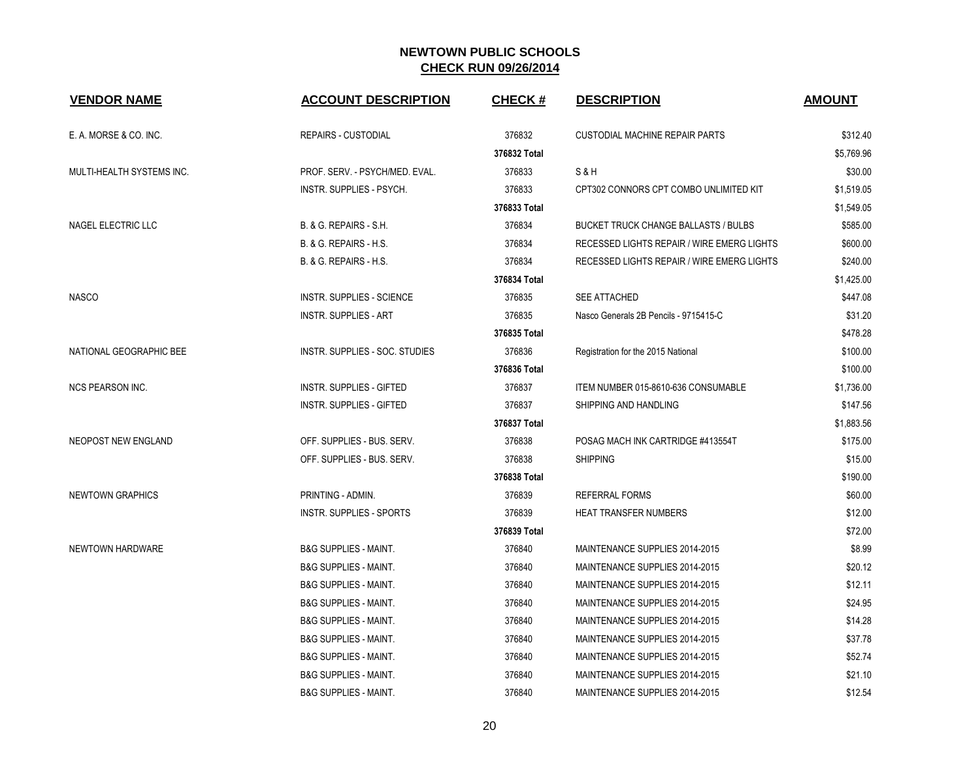| <b>VENDOR NAME</b>        | <b>ACCOUNT DESCRIPTION</b>       | <b>CHECK#</b> | <b>DESCRIPTION</b>                          | <b>AMOUNT</b> |
|---------------------------|----------------------------------|---------------|---------------------------------------------|---------------|
| E. A. MORSE & CO. INC.    | <b>REPAIRS - CUSTODIAL</b>       | 376832        | <b>CUSTODIAL MACHINE REPAIR PARTS</b>       | \$312.40      |
|                           |                                  | 376832 Total  |                                             | \$5,769.96    |
| MULTI-HEALTH SYSTEMS INC. | PROF. SERV. - PSYCH/MED. EVAL.   | 376833        | S&H                                         | \$30.00       |
|                           | INSTR. SUPPLIES - PSYCH.         | 376833        | CPT302 CONNORS CPT COMBO UNLIMITED KIT      | \$1,519.05    |
|                           |                                  | 376833 Total  |                                             | \$1,549.05    |
| NAGEL ELECTRIC LLC        | B. & G. REPAIRS - S.H.           | 376834        | <b>BUCKET TRUCK CHANGE BALLASTS / BULBS</b> | \$585.00      |
|                           | B. & G. REPAIRS - H.S.           | 376834        | RECESSED LIGHTS REPAIR / WIRE EMERG LIGHTS  | \$600.00      |
|                           | B. & G. REPAIRS - H.S.           | 376834        | RECESSED LIGHTS REPAIR / WIRE EMERG LIGHTS  | \$240.00      |
|                           |                                  | 376834 Total  |                                             | \$1,425.00    |
| <b>NASCO</b>              | <b>INSTR. SUPPLIES - SCIENCE</b> | 376835        | <b>SEE ATTACHED</b>                         | \$447.08      |
|                           | <b>INSTR. SUPPLIES - ART</b>     | 376835        | Nasco Generals 2B Pencils - 9715415-C       | \$31.20       |
|                           |                                  | 376835 Total  |                                             | \$478.28      |
| NATIONAL GEOGRAPHIC BEE   | INSTR. SUPPLIES - SOC. STUDIES   | 376836        | Registration for the 2015 National          | \$100.00      |
|                           |                                  | 376836 Total  |                                             | \$100.00      |
| <b>NCS PEARSON INC.</b>   | <b>INSTR. SUPPLIES - GIFTED</b>  | 376837        | ITEM NUMBER 015-8610-636 CONSUMABLE         | \$1,736.00    |
|                           | <b>INSTR. SUPPLIES - GIFTED</b>  | 376837        | SHIPPING AND HANDLING                       | \$147.56      |
|                           |                                  | 376837 Total  |                                             | \$1,883.56    |
| NEOPOST NEW ENGLAND       | OFF. SUPPLIES - BUS. SERV.       | 376838        | POSAG MACH INK CARTRIDGE #413554T           | \$175.00      |
|                           | OFF. SUPPLIES - BUS. SERV.       | 376838        | <b>SHIPPING</b>                             | \$15.00       |
|                           |                                  | 376838 Total  |                                             | \$190.00      |
| <b>NEWTOWN GRAPHICS</b>   | PRINTING - ADMIN.                | 376839        | <b>REFERRAL FORMS</b>                       | \$60.00       |
|                           | <b>INSTR. SUPPLIES - SPORTS</b>  | 376839        | HEAT TRANSFER NUMBERS                       | \$12.00       |
|                           |                                  | 376839 Total  |                                             | \$72.00       |
| NEWTOWN HARDWARE          | <b>B&amp;G SUPPLIES - MAINT.</b> | 376840        | MAINTENANCE SUPPLIES 2014-2015              | \$8.99        |
|                           | <b>B&amp;G SUPPLIES - MAINT.</b> | 376840        | MAINTENANCE SUPPLIES 2014-2015              | \$20.12       |
|                           | <b>B&amp;G SUPPLIES - MAINT.</b> | 376840        | MAINTENANCE SUPPLIES 2014-2015              | \$12.11       |
|                           | <b>B&amp;G SUPPLIES - MAINT.</b> | 376840        | MAINTENANCE SUPPLIES 2014-2015              | \$24.95       |
|                           | <b>B&amp;G SUPPLIES - MAINT.</b> | 376840        | MAINTENANCE SUPPLIES 2014-2015              | \$14.28       |
|                           | <b>B&amp;G SUPPLIES - MAINT.</b> | 376840        | MAINTENANCE SUPPLIES 2014-2015              | \$37.78       |
|                           | <b>B&amp;G SUPPLIES - MAINT.</b> | 376840        | MAINTENANCE SUPPLIES 2014-2015              | \$52.74       |
|                           | <b>B&amp;G SUPPLIES - MAINT.</b> | 376840        | MAINTENANCE SUPPLIES 2014-2015              | \$21.10       |
|                           | <b>B&amp;G SUPPLIES - MAINT.</b> | 376840        | MAINTENANCE SUPPLIES 2014-2015              | \$12.54       |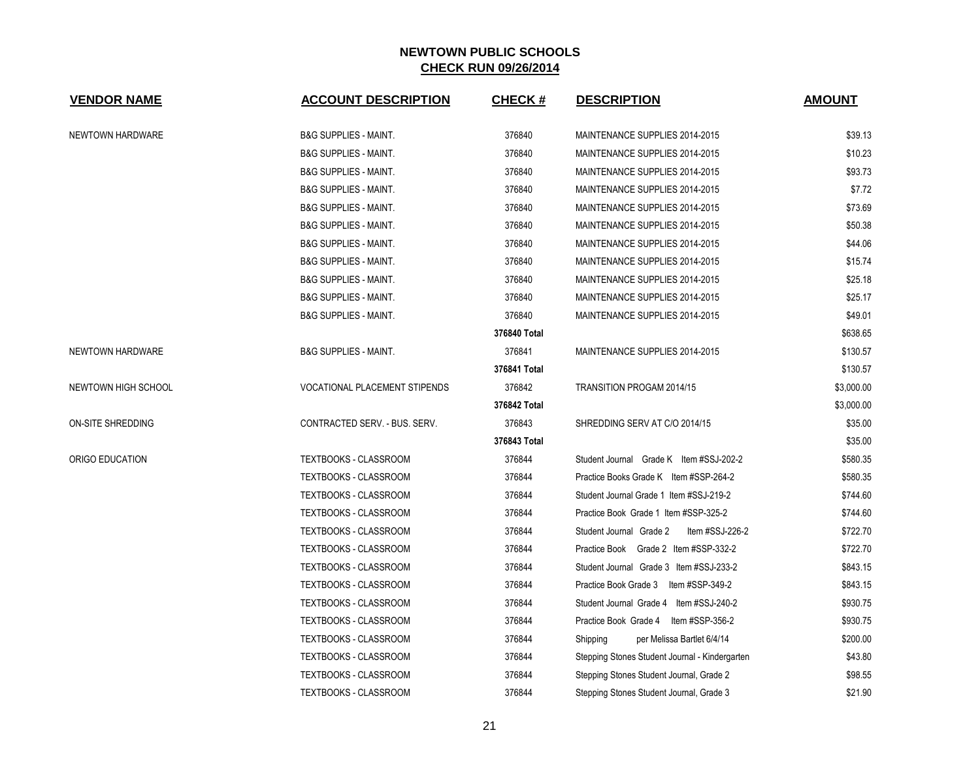| <b>VENDOR NAME</b>  | <b>ACCOUNT DESCRIPTION</b>           | <b>CHECK#</b> | <b>DESCRIPTION</b>                             | <b>AMOUNT</b> |
|---------------------|--------------------------------------|---------------|------------------------------------------------|---------------|
| NEWTOWN HARDWARE    | <b>B&amp;G SUPPLIES - MAINT.</b>     | 376840        | MAINTENANCE SUPPLIES 2014-2015                 | \$39.13       |
|                     | <b>B&amp;G SUPPLIES - MAINT.</b>     | 376840        | MAINTENANCE SUPPLIES 2014-2015                 | \$10.23       |
|                     | <b>B&amp;G SUPPLIES - MAINT.</b>     | 376840        | MAINTENANCE SUPPLIES 2014-2015                 | \$93.73       |
|                     | <b>B&amp;G SUPPLIES - MAINT.</b>     | 376840        | MAINTENANCE SUPPLIES 2014-2015                 | \$7.72        |
|                     | <b>B&amp;G SUPPLIES - MAINT.</b>     | 376840        | MAINTENANCE SUPPLIES 2014-2015                 | \$73.69       |
|                     | <b>B&amp;G SUPPLIES - MAINT.</b>     | 376840        | MAINTENANCE SUPPLIES 2014-2015                 | \$50.38       |
|                     | <b>B&amp;G SUPPLIES - MAINT.</b>     | 376840        | MAINTENANCE SUPPLIES 2014-2015                 | \$44.06       |
|                     | <b>B&amp;G SUPPLIES - MAINT.</b>     | 376840        | MAINTENANCE SUPPLIES 2014-2015                 | \$15.74       |
|                     | <b>B&amp;G SUPPLIES - MAINT.</b>     | 376840        | MAINTENANCE SUPPLIES 2014-2015                 | \$25.18       |
|                     | <b>B&amp;G SUPPLIES - MAINT.</b>     | 376840        | MAINTENANCE SUPPLIES 2014-2015                 | \$25.17       |
|                     | <b>B&amp;G SUPPLIES - MAINT.</b>     | 376840        | MAINTENANCE SUPPLIES 2014-2015                 | \$49.01       |
|                     |                                      | 376840 Total  |                                                | \$638.65      |
| NEWTOWN HARDWARE    | <b>B&amp;G SUPPLIES - MAINT.</b>     | 376841        | MAINTENANCE SUPPLIES 2014-2015                 | \$130.57      |
|                     |                                      | 376841 Total  |                                                | \$130.57      |
| NEWTOWN HIGH SCHOOL | <b>VOCATIONAL PLACEMENT STIPENDS</b> | 376842        | TRANSITION PROGAM 2014/15                      | \$3,000.00    |
|                     |                                      | 376842 Total  |                                                | \$3,000.00    |
| ON-SITE SHREDDING   | CONTRACTED SERV. - BUS. SERV.        | 376843        | SHREDDING SERV AT C/O 2014/15                  | \$35.00       |
|                     |                                      | 376843 Total  |                                                | \$35.00       |
| ORIGO EDUCATION     | TEXTBOOKS - CLASSROOM                | 376844        | Student Journal Grade K Item #SSJ-202-2        | \$580.35      |
|                     | TEXTBOOKS - CLASSROOM                | 376844        | Practice Books Grade K Item #SSP-264-2         | \$580.35      |
|                     | TEXTBOOKS - CLASSROOM                | 376844        | Student Journal Grade 1 Item #SSJ-219-2        | \$744.60      |
|                     | TEXTBOOKS - CLASSROOM                | 376844        | Practice Book Grade 1 Item #SSP-325-2          | \$744.60      |
|                     | TEXTBOOKS - CLASSROOM                | 376844        | Student Journal Grade 2<br>Item #SSJ-226-2     | \$722.70      |
|                     | TEXTBOOKS - CLASSROOM                | 376844        | Practice Book Grade 2 Item #SSP-332-2          | \$722.70      |
|                     | TEXTBOOKS - CLASSROOM                | 376844        | Student Journal Grade 3 Item #SSJ-233-2        | \$843.15      |
|                     | TEXTBOOKS - CLASSROOM                | 376844        | Practice Book Grade 3 Item #SSP-349-2          | \$843.15      |
|                     | TEXTBOOKS - CLASSROOM                | 376844        | Student Journal Grade 4 Item #SSJ-240-2        | \$930.75      |
|                     | TEXTBOOKS - CLASSROOM                | 376844        | Practice Book Grade 4 Item #SSP-356-2          | \$930.75      |
|                     | TEXTBOOKS - CLASSROOM                | 376844        | per Melissa Bartlet 6/4/14<br>Shipping         | \$200.00      |
|                     | TEXTBOOKS - CLASSROOM                | 376844        | Stepping Stones Student Journal - Kindergarten | \$43.80       |
|                     | <b>TEXTBOOKS - CLASSROOM</b>         | 376844        | Stepping Stones Student Journal, Grade 2       | \$98.55       |
|                     | TEXTBOOKS - CLASSROOM                | 376844        | Stepping Stones Student Journal, Grade 3       | \$21.90       |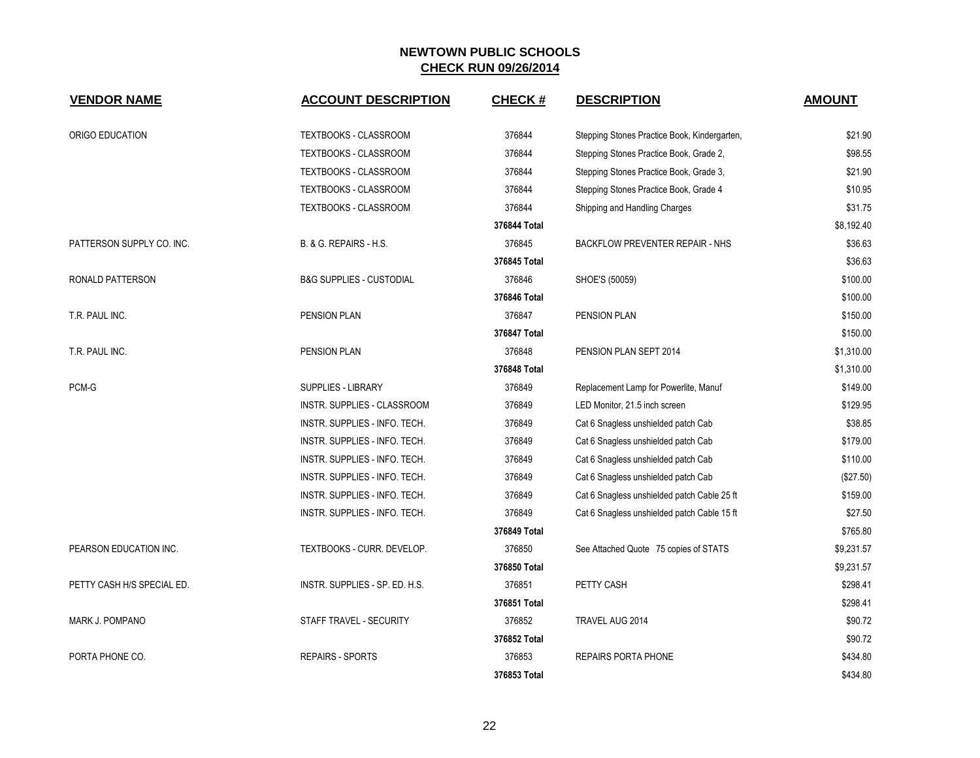| <b>VENDOR NAME</b>         | <b>ACCOUNT DESCRIPTION</b>          | <b>CHECK#</b> | <b>DESCRIPTION</b>                           | <b>AMOUNT</b> |
|----------------------------|-------------------------------------|---------------|----------------------------------------------|---------------|
| ORIGO EDUCATION            | TEXTBOOKS - CLASSROOM               | 376844        | Stepping Stones Practice Book, Kindergarten, | \$21.90       |
|                            | <b>TEXTBOOKS - CLASSROOM</b>        | 376844        | Stepping Stones Practice Book, Grade 2,      | \$98.55       |
|                            | TEXTBOOKS - CLASSROOM               | 376844        | Stepping Stones Practice Book, Grade 3,      | \$21.90       |
|                            | TEXTBOOKS - CLASSROOM               | 376844        | Stepping Stones Practice Book, Grade 4       | \$10.95       |
|                            | TEXTBOOKS - CLASSROOM               | 376844        | Shipping and Handling Charges                | \$31.75       |
|                            |                                     | 376844 Total  |                                              | \$8,192.40    |
| PATTERSON SUPPLY CO. INC.  | B. & G. REPAIRS - H.S.              | 376845        | <b>BACKFLOW PREVENTER REPAIR - NHS</b>       | \$36.63       |
|                            |                                     | 376845 Total  |                                              | \$36.63       |
| RONALD PATTERSON           | <b>B&amp;G SUPPLIES - CUSTODIAL</b> | 376846        | SHOE'S (50059)                               | \$100.00      |
|                            |                                     | 376846 Total  |                                              | \$100.00      |
| T.R. PAUL INC.             | <b>PENSION PLAN</b>                 | 376847        | <b>PENSION PLAN</b>                          | \$150.00      |
|                            |                                     | 376847 Total  |                                              | \$150.00      |
| T.R. PAUL INC.             | PENSION PLAN                        | 376848        | PENSION PLAN SEPT 2014                       | \$1,310.00    |
|                            |                                     | 376848 Total  |                                              | \$1,310.00    |
| PCM-G                      | <b>SUPPLIES - LIBRARY</b>           | 376849        | Replacement Lamp for Powerlite, Manuf        | \$149.00      |
|                            | INSTR. SUPPLIES - CLASSROOM         | 376849        | LED Monitor, 21.5 inch screen                | \$129.95      |
|                            | INSTR. SUPPLIES - INFO. TECH.       | 376849        | Cat 6 Snagless unshielded patch Cab          | \$38.85       |
|                            | INSTR. SUPPLIES - INFO. TECH.       | 376849        | Cat 6 Snagless unshielded patch Cab          | \$179.00      |
|                            | INSTR. SUPPLIES - INFO. TECH.       | 376849        | Cat 6 Snagless unshielded patch Cab          | \$110.00      |
|                            | INSTR. SUPPLIES - INFO. TECH.       | 376849        | Cat 6 Snagless unshielded patch Cab          | (\$27.50)     |
|                            | INSTR. SUPPLIES - INFO. TECH.       | 376849        | Cat 6 Snagless unshielded patch Cable 25 ft  | \$159.00      |
|                            | INSTR. SUPPLIES - INFO. TECH.       | 376849        | Cat 6 Snagless unshielded patch Cable 15 ft  | \$27.50       |
|                            |                                     | 376849 Total  |                                              | \$765.80      |
| PEARSON EDUCATION INC.     | TEXTBOOKS - CURR. DEVELOP.          | 376850        | See Attached Quote 75 copies of STATS        | \$9,231.57    |
|                            |                                     | 376850 Total  |                                              | \$9,231.57    |
| PETTY CASH H/S SPECIAL ED. | INSTR. SUPPLIES - SP. ED. H.S.      | 376851        | PETTY CASH                                   | \$298.41      |
|                            |                                     | 376851 Total  |                                              | \$298.41      |
| MARK J. POMPANO            | STAFF TRAVEL - SECURITY             | 376852        | TRAVEL AUG 2014                              | \$90.72       |
|                            |                                     | 376852 Total  |                                              | \$90.72       |
| PORTA PHONE CO.            | <b>REPAIRS - SPORTS</b>             | 376853        | <b>REPAIRS PORTA PHONE</b>                   | \$434.80      |
|                            |                                     | 376853 Total  |                                              | \$434.80      |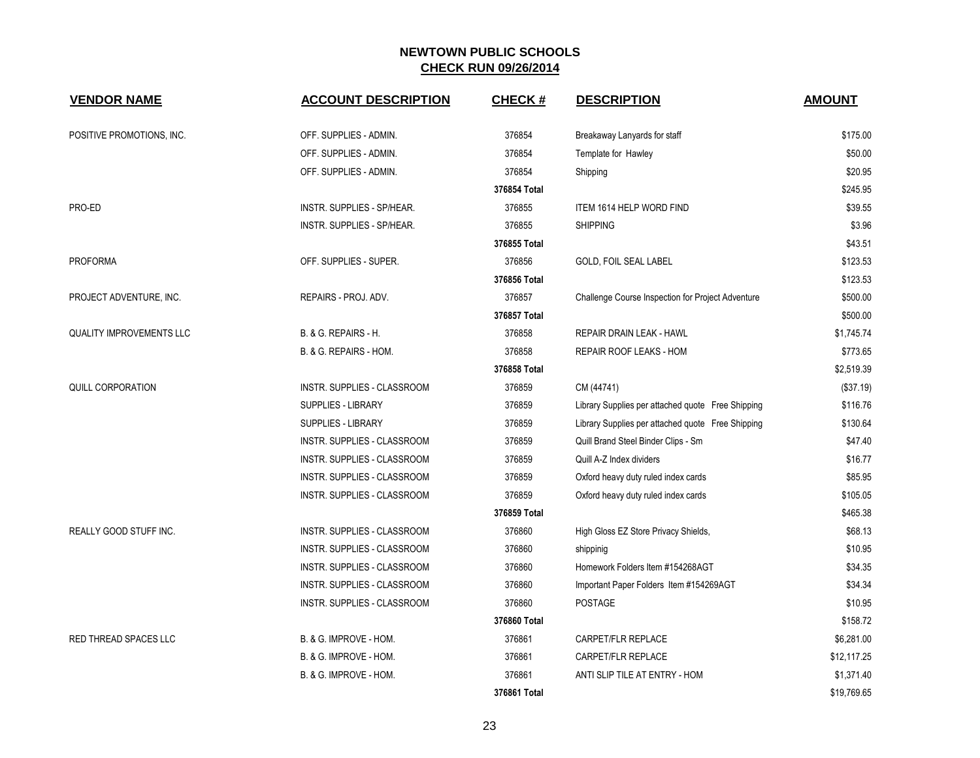| <b>VENDOR NAME</b>              | <b>ACCOUNT DESCRIPTION</b>  | <b>CHECK#</b> | <b>DESCRIPTION</b>                                | <b>AMOUNT</b> |
|---------------------------------|-----------------------------|---------------|---------------------------------------------------|---------------|
|                                 |                             |               |                                                   |               |
| POSITIVE PROMOTIONS, INC.       | OFF. SUPPLIES - ADMIN.      | 376854        | Breakaway Lanyards for staff                      | \$175.00      |
|                                 | OFF. SUPPLIES - ADMIN.      | 376854        | Template for Hawley                               | \$50.00       |
|                                 | OFF. SUPPLIES - ADMIN.      | 376854        | Shipping                                          | \$20.95       |
|                                 |                             | 376854 Total  |                                                   | \$245.95      |
| PRO-ED                          | INSTR. SUPPLIES - SP/HEAR.  | 376855        | <b>ITEM 1614 HELP WORD FIND</b>                   | \$39.55       |
|                                 | INSTR. SUPPLIES - SP/HEAR.  | 376855        | <b>SHIPPING</b>                                   | \$3.96        |
|                                 |                             | 376855 Total  |                                                   | \$43.51       |
| <b>PROFORMA</b>                 | OFF. SUPPLIES - SUPER.      | 376856        | GOLD, FOIL SEAL LABEL                             | \$123.53      |
|                                 |                             | 376856 Total  |                                                   | \$123.53      |
| PROJECT ADVENTURE, INC.         | REPAIRS - PROJ. ADV.        | 376857        | Challenge Course Inspection for Project Adventure | \$500.00      |
|                                 |                             | 376857 Total  |                                                   | \$500.00      |
| <b>QUALITY IMPROVEMENTS LLC</b> | B. & G. REPAIRS - H.        | 376858        | REPAIR DRAIN LEAK - HAWL                          | \$1,745.74    |
|                                 | B. & G. REPAIRS - HOM.      | 376858        | REPAIR ROOF LEAKS - HOM                           | \$773.65      |
|                                 |                             | 376858 Total  |                                                   | \$2,519.39    |
| QUILL CORPORATION               | INSTR. SUPPLIES - CLASSROOM | 376859        | CM (44741)                                        | (\$37.19)     |
|                                 | SUPPLIES - LIBRARY          | 376859        | Library Supplies per attached quote Free Shipping | \$116.76      |
|                                 | <b>SUPPLIES - LIBRARY</b>   | 376859        | Library Supplies per attached quote Free Shipping | \$130.64      |
|                                 | INSTR. SUPPLIES - CLASSROOM | 376859        | Quill Brand Steel Binder Clips - Sm               | \$47.40       |
|                                 | INSTR. SUPPLIES - CLASSROOM | 376859        | Quill A-Z Index dividers                          | \$16.77       |
|                                 | INSTR. SUPPLIES - CLASSROOM | 376859        | Oxford heavy duty ruled index cards               | \$85.95       |
|                                 | INSTR. SUPPLIES - CLASSROOM | 376859        | Oxford heavy duty ruled index cards               | \$105.05      |
|                                 |                             | 376859 Total  |                                                   | \$465.38      |
| <b>REALLY GOOD STUFF INC.</b>   | INSTR. SUPPLIES - CLASSROOM | 376860        | High Gloss EZ Store Privacy Shields,              | \$68.13       |
|                                 | INSTR. SUPPLIES - CLASSROOM | 376860        | shippinig                                         | \$10.95       |
|                                 | INSTR. SUPPLIES - CLASSROOM | 376860        | Homework Folders Item #154268AGT                  | \$34.35       |
|                                 | INSTR. SUPPLIES - CLASSROOM | 376860        | Important Paper Folders Item #154269AGT           | \$34.34       |
|                                 | INSTR. SUPPLIES - CLASSROOM | 376860        | POSTAGE                                           | \$10.95       |
|                                 |                             | 376860 Total  |                                                   | \$158.72      |
| RED THREAD SPACES LLC           | B. & G. IMPROVE - HOM.      | 376861        | CARPET/FLR REPLACE                                | \$6,281.00    |
|                                 | B. & G. IMPROVE - HOM.      | 376861        | CARPET/FLR REPLACE                                | \$12,117.25   |
|                                 | B. & G. IMPROVE - HOM.      | 376861        | ANTI SLIP TILE AT ENTRY - HOM                     | \$1,371.40    |
|                                 |                             | 376861 Total  |                                                   | \$19,769.65   |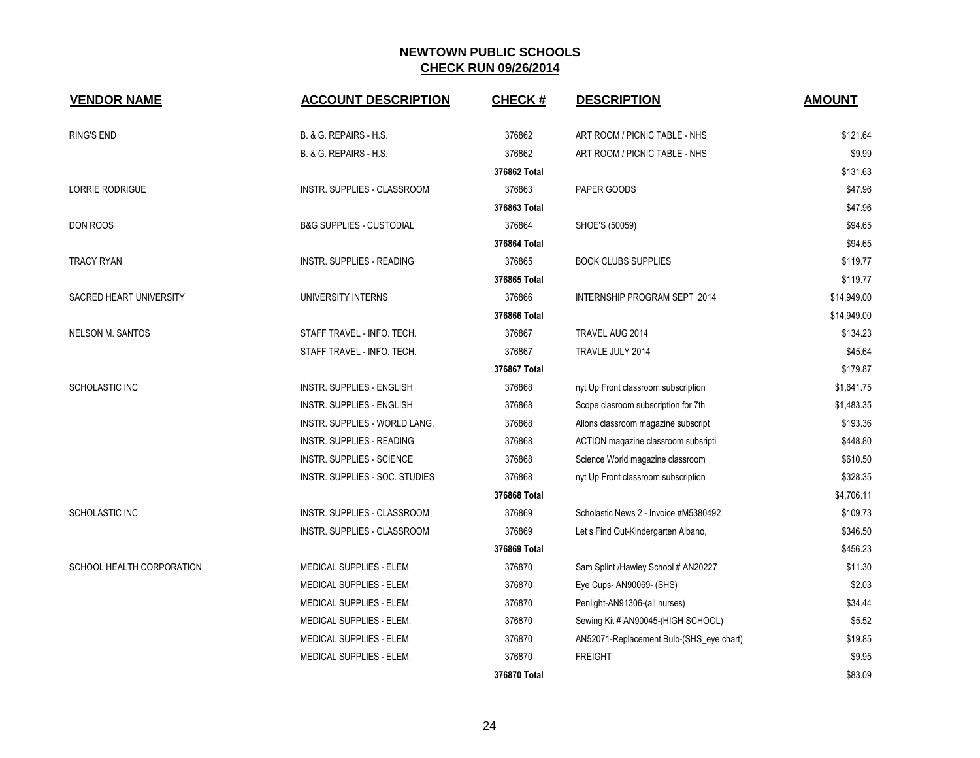| <b>VENDOR NAME</b>        | <b>ACCOUNT DESCRIPTION</b>          | <b>CHECK#</b> | <b>DESCRIPTION</b>                       | <b>AMOUNT</b> |
|---------------------------|-------------------------------------|---------------|------------------------------------------|---------------|
| RING'S END                | B. & G. REPAIRS - H.S.              | 376862        | ART ROOM / PICNIC TABLE - NHS            | \$121.64      |
|                           | B. & G. REPAIRS - H.S.              | 376862        | ART ROOM / PICNIC TABLE - NHS            | \$9.99        |
|                           |                                     | 376862 Total  |                                          | \$131.63      |
| <b>LORRIE RODRIGUE</b>    | INSTR. SUPPLIES - CLASSROOM         | 376863        | PAPER GOODS                              | \$47.96       |
|                           |                                     | 376863 Total  |                                          | \$47.96       |
| DON ROOS                  | <b>B&amp;G SUPPLIES - CUSTODIAL</b> | 376864        | SHOE'S (50059)                           | \$94.65       |
|                           |                                     | 376864 Total  |                                          | \$94.65       |
| <b>TRACY RYAN</b>         | INSTR. SUPPLIES - READING           | 376865        | <b>BOOK CLUBS SUPPLIES</b>               | \$119.77      |
|                           |                                     | 376865 Total  |                                          | \$119.77      |
| SACRED HEART UNIVERSITY   | UNIVERSITY INTERNS                  | 376866        | INTERNSHIP PROGRAM SEPT 2014             | \$14,949.00   |
|                           |                                     | 376866 Total  |                                          | \$14,949.00   |
| <b>NELSON M. SANTOS</b>   | STAFF TRAVEL - INFO. TECH.          | 376867        | TRAVEL AUG 2014                          | \$134.23      |
|                           | STAFF TRAVEL - INFO. TECH.          | 376867        | TRAVLE JULY 2014                         | \$45.64       |
|                           |                                     | 376867 Total  |                                          | \$179.87      |
| SCHOLASTIC INC            | <b>INSTR. SUPPLIES - ENGLISH</b>    | 376868        | nyt Up Front classroom subscription      | \$1,641.75    |
|                           | <b>INSTR. SUPPLIES - ENGLISH</b>    | 376868        | Scope clasroom subscription for 7th      | \$1,483.35    |
|                           | INSTR. SUPPLIES - WORLD LANG.       | 376868        | Allons classroom magazine subscript      | \$193.36      |
|                           | <b>INSTR. SUPPLIES - READING</b>    | 376868        | ACTION magazine classroom subsripti      | \$448.80      |
|                           | <b>INSTR. SUPPLIES - SCIENCE</b>    | 376868        | Science World magazine classroom         | \$610.50      |
|                           | INSTR. SUPPLIES - SOC. STUDIES      | 376868        | nyt Up Front classroom subscription      | \$328.35      |
|                           |                                     | 376868 Total  |                                          | \$4,706.11    |
| SCHOLASTIC INC            | INSTR. SUPPLIES - CLASSROOM         | 376869        | Scholastic News 2 - Invoice #M5380492    | \$109.73      |
|                           | INSTR. SUPPLIES - CLASSROOM         | 376869        | Let s Find Out-Kindergarten Albano,      | \$346.50      |
|                           |                                     | 376869 Total  |                                          | \$456.23      |
| SCHOOL HEALTH CORPORATION | MEDICAL SUPPLIES - ELEM.            | 376870        | Sam Splint /Hawley School # AN20227      | \$11.30       |
|                           | MEDICAL SUPPLIES - ELEM.            | 376870        | Eye Cups- AN90069- (SHS)                 | \$2.03        |
|                           | MEDICAL SUPPLIES - ELEM.            | 376870        | Penlight-AN91306-(all nurses)            | \$34.44       |
|                           | MEDICAL SUPPLIES - ELEM.            | 376870        | Sewing Kit # AN90045-(HIGH SCHOOL)       | \$5.52        |
|                           | MEDICAL SUPPLIES - ELEM.            | 376870        | AN52071-Replacement Bulb-(SHS_eye chart) | \$19.85       |
|                           | MEDICAL SUPPLIES - ELEM.            | 376870        | <b>FREIGHT</b>                           | \$9.95        |
|                           |                                     | 376870 Total  |                                          | \$83.09       |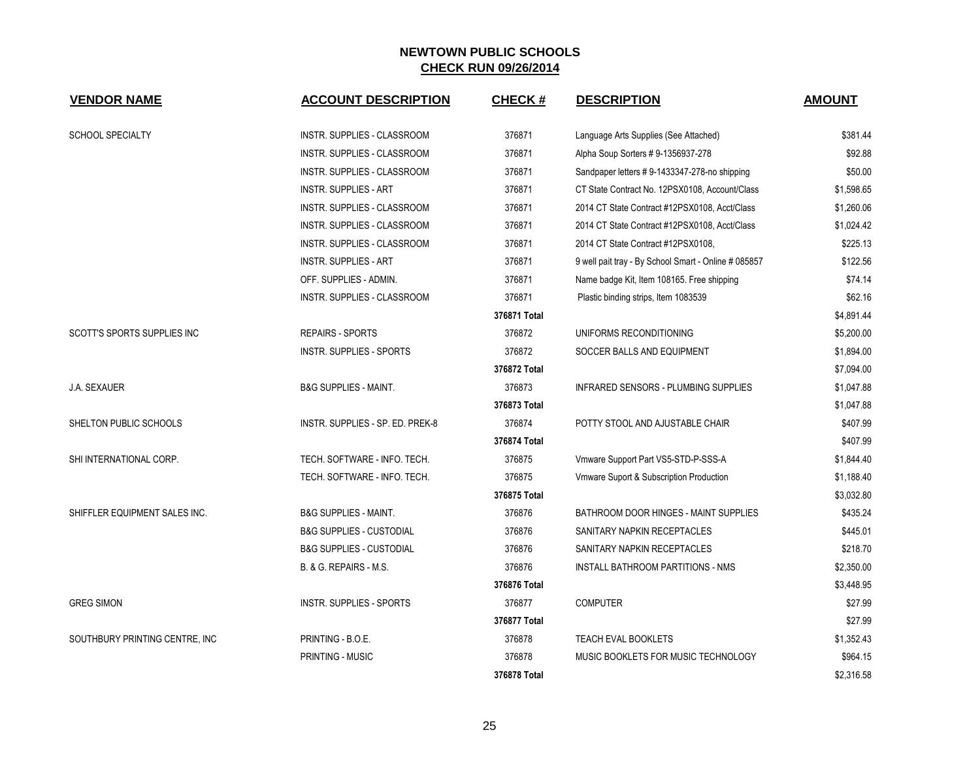| <b>VENDOR NAME</b>             | <b>ACCOUNT DESCRIPTION</b>          | <b>CHECK#</b> | <b>DESCRIPTION</b>                                   | <b>AMOUNT</b> |
|--------------------------------|-------------------------------------|---------------|------------------------------------------------------|---------------|
| <b>SCHOOL SPECIALTY</b>        | INSTR. SUPPLIES - CLASSROOM         | 376871        | Language Arts Supplies (See Attached)                | \$381.44      |
|                                | INSTR. SUPPLIES - CLASSROOM         | 376871        | Alpha Soup Sorters # 9-1356937-278                   | \$92.88       |
|                                | INSTR. SUPPLIES - CLASSROOM         | 376871        | Sandpaper letters #9-1433347-278-no shipping         | \$50.00       |
|                                | <b>INSTR. SUPPLIES - ART</b>        | 376871        | CT State Contract No. 12PSX0108, Account/Class       | \$1,598.65    |
|                                | <b>INSTR. SUPPLIES - CLASSROOM</b>  | 376871        | 2014 CT State Contract #12PSX0108, Acct/Class        | \$1,260.06    |
|                                | INSTR. SUPPLIES - CLASSROOM         | 376871        | 2014 CT State Contract #12PSX0108, Acct/Class        | \$1,024.42    |
|                                | INSTR. SUPPLIES - CLASSROOM         | 376871        | 2014 CT State Contract #12PSX0108,                   | \$225.13      |
|                                | <b>INSTR. SUPPLIES - ART</b>        | 376871        | 9 well pait tray - By School Smart - Online # 085857 | \$122.56      |
|                                | OFF. SUPPLIES - ADMIN.              | 376871        | Name badge Kit, Item 108165. Free shipping           | \$74.14       |
|                                | INSTR. SUPPLIES - CLASSROOM         | 376871        | Plastic binding strips, Item 1083539                 | \$62.16       |
|                                |                                     | 376871 Total  |                                                      | \$4,891.44    |
| SCOTT'S SPORTS SUPPLIES INC    | <b>REPAIRS - SPORTS</b>             | 376872        | UNIFORMS RECONDITIONING                              | \$5,200.00    |
|                                | <b>INSTR. SUPPLIES - SPORTS</b>     | 376872        | SOCCER BALLS AND EQUIPMENT                           | \$1,894.00    |
|                                |                                     | 376872 Total  |                                                      | \$7,094.00    |
| <b>J.A. SEXAUER</b>            | <b>B&amp;G SUPPLIES - MAINT.</b>    | 376873        | INFRARED SENSORS - PLUMBING SUPPLIES                 | \$1,047.88    |
|                                |                                     | 376873 Total  |                                                      | \$1,047.88    |
| SHELTON PUBLIC SCHOOLS         | INSTR. SUPPLIES - SP. ED. PREK-8    | 376874        | POTTY STOOL AND AJUSTABLE CHAIR                      | \$407.99      |
|                                |                                     | 376874 Total  |                                                      | \$407.99      |
| SHI INTERNATIONAL CORP.        | TECH. SOFTWARE - INFO. TECH.        | 376875        | Vmware Support Part VS5-STD-P-SSS-A                  | \$1,844.40    |
|                                | TECH. SOFTWARE - INFO. TECH.        | 376875        | Vmware Suport & Subscription Production              | \$1,188.40    |
|                                |                                     | 376875 Total  |                                                      | \$3,032.80    |
| SHIFFLER EQUIPMENT SALES INC.  | <b>B&amp;G SUPPLIES - MAINT.</b>    | 376876        | <b>BATHROOM DOOR HINGES - MAINT SUPPLIES</b>         | \$435.24      |
|                                | <b>B&amp;G SUPPLIES - CUSTODIAL</b> | 376876        | SANITARY NAPKIN RECEPTACLES                          | \$445.01      |
|                                | <b>B&amp;G SUPPLIES - CUSTODIAL</b> | 376876        | SANITARY NAPKIN RECEPTACLES                          | \$218.70      |
|                                | B. & G. REPAIRS - M.S.              | 376876        | INSTALL BATHROOM PARTITIONS - NMS                    | \$2,350.00    |
|                                |                                     | 376876 Total  |                                                      | \$3,448.95    |
| <b>GREG SIMON</b>              | <b>INSTR. SUPPLIES - SPORTS</b>     | 376877        | <b>COMPUTER</b>                                      | \$27.99       |
|                                |                                     | 376877 Total  |                                                      | \$27.99       |
| SOUTHBURY PRINTING CENTRE, INC | PRINTING - B.O.E.                   | 376878        | TEACH EVAL BOOKLETS                                  | \$1,352.43    |
|                                | <b>PRINTING - MUSIC</b>             | 376878        | MUSIC BOOKLETS FOR MUSIC TECHNOLOGY                  | \$964.15      |
|                                |                                     | 376878 Total  |                                                      | \$2,316.58    |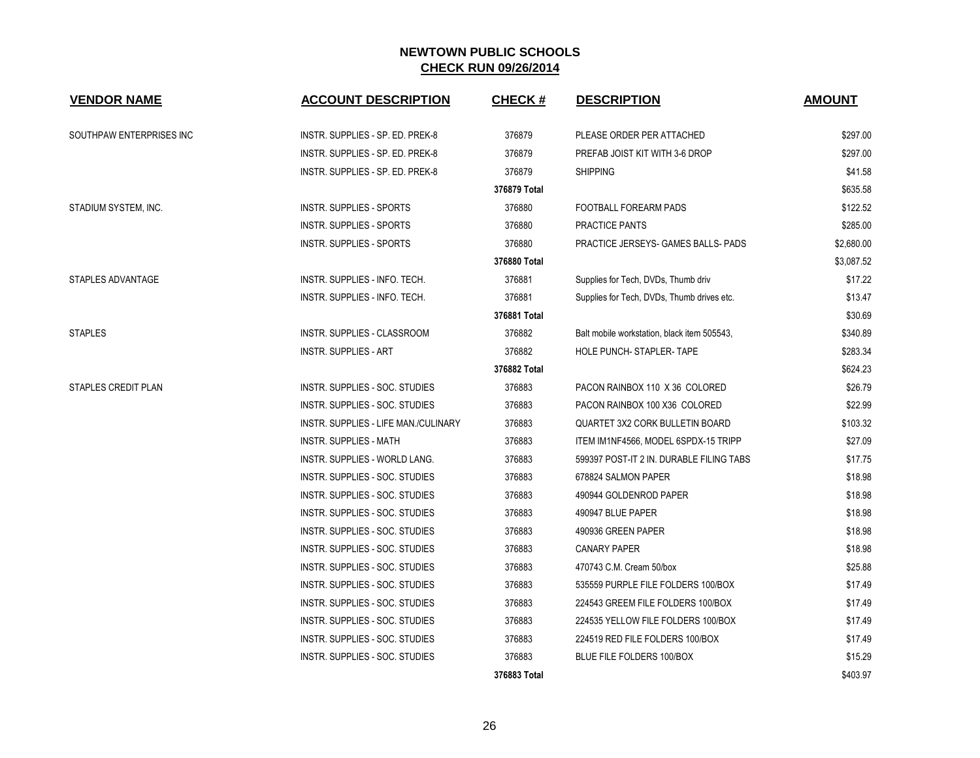| <b>VENDOR NAME</b>         | <b>ACCOUNT DESCRIPTION</b>           | <b>CHECK#</b> | <b>DESCRIPTION</b>                          | <b>AMOUNT</b> |
|----------------------------|--------------------------------------|---------------|---------------------------------------------|---------------|
| SOUTHPAW ENTERPRISES INC   | INSTR. SUPPLIES - SP. ED. PREK-8     | 376879        | PLEASE ORDER PER ATTACHED                   | \$297.00      |
|                            | INSTR. SUPPLIES - SP. ED. PREK-8     | 376879        | PREFAB JOIST KIT WITH 3-6 DROP              | \$297.00      |
|                            | INSTR. SUPPLIES - SP. ED. PREK-8     | 376879        | <b>SHIPPING</b>                             | \$41.58       |
|                            |                                      | 376879 Total  |                                             | \$635.58      |
| STADIUM SYSTEM, INC.       | <b>INSTR. SUPPLIES - SPORTS</b>      | 376880        | FOOTBALL FOREARM PADS                       | \$122.52      |
|                            | <b>INSTR. SUPPLIES - SPORTS</b>      | 376880        | PRACTICE PANTS                              | \$285.00      |
|                            | <b>INSTR. SUPPLIES - SPORTS</b>      | 376880        | PRACTICE JERSEYS- GAMES BALLS- PADS         | \$2,680.00    |
|                            |                                      | 376880 Total  |                                             | \$3,087.52    |
| STAPLES ADVANTAGE          | INSTR. SUPPLIES - INFO. TECH.        | 376881        | Supplies for Tech, DVDs, Thumb driv         | \$17.22       |
|                            | INSTR. SUPPLIES - INFO. TECH.        | 376881        | Supplies for Tech, DVDs, Thumb drives etc.  | \$13.47       |
|                            |                                      | 376881 Total  |                                             | \$30.69       |
| <b>STAPLES</b>             | <b>INSTR. SUPPLIES - CLASSROOM</b>   | 376882        | Balt mobile workstation, black item 505543, | \$340.89      |
|                            | <b>INSTR. SUPPLIES - ART</b>         | 376882        | HOLE PUNCH- STAPLER- TAPE                   | \$283.34      |
|                            |                                      | 376882 Total  |                                             | \$624.23      |
| <b>STAPLES CREDIT PLAN</b> | INSTR. SUPPLIES - SOC. STUDIES       | 376883        | PACON RAINBOX 110 X 36 COLORED              | \$26.79       |
|                            | INSTR. SUPPLIES - SOC. STUDIES       | 376883        | PACON RAINBOX 100 X36 COLORED               | \$22.99       |
|                            | INSTR. SUPPLIES - LIFE MAN./CULINARY | 376883        | <b>QUARTET 3X2 CORK BULLETIN BOARD</b>      | \$103.32      |
|                            | <b>INSTR. SUPPLIES - MATH</b>        | 376883        | ITEM IM1NF4566, MODEL 6SPDX-15 TRIPP        | \$27.09       |
|                            | <b>INSTR. SUPPLIES - WORLD LANG.</b> | 376883        | 599397 POST-IT 2 IN. DURABLE FILING TABS    | \$17.75       |
|                            | INSTR. SUPPLIES - SOC. STUDIES       | 376883        | 678824 SALMON PAPER                         | \$18.98       |
|                            | INSTR. SUPPLIES - SOC. STUDIES       | 376883        | 490944 GOLDENROD PAPER                      | \$18.98       |
|                            | INSTR. SUPPLIES - SOC. STUDIES       | 376883        | 490947 BLUE PAPER                           | \$18.98       |
|                            | INSTR. SUPPLIES - SOC. STUDIES       | 376883        | 490936 GREEN PAPER                          | \$18.98       |
|                            | INSTR. SUPPLIES - SOC. STUDIES       | 376883        | <b>CANARY PAPER</b>                         | \$18.98       |
|                            | INSTR. SUPPLIES - SOC. STUDIES       | 376883        | 470743 C.M. Cream 50/box                    | \$25.88       |
|                            | INSTR. SUPPLIES - SOC. STUDIES       | 376883        | 535559 PURPLE FILE FOLDERS 100/BOX          | \$17.49       |
|                            | INSTR. SUPPLIES - SOC. STUDIES       | 376883        | 224543 GREEM FILE FOLDERS 100/BOX           | \$17.49       |
|                            | INSTR. SUPPLIES - SOC. STUDIES       | 376883        | 224535 YELLOW FILE FOLDERS 100/BOX          | \$17.49       |
|                            | INSTR. SUPPLIES - SOC. STUDIES       | 376883        | 224519 RED FILE FOLDERS 100/BOX             | \$17.49       |
|                            | INSTR. SUPPLIES - SOC. STUDIES       | 376883        | <b>BLUE FILE FOLDERS 100/BOX</b>            | \$15.29       |
|                            |                                      | 376883 Total  |                                             | \$403.97      |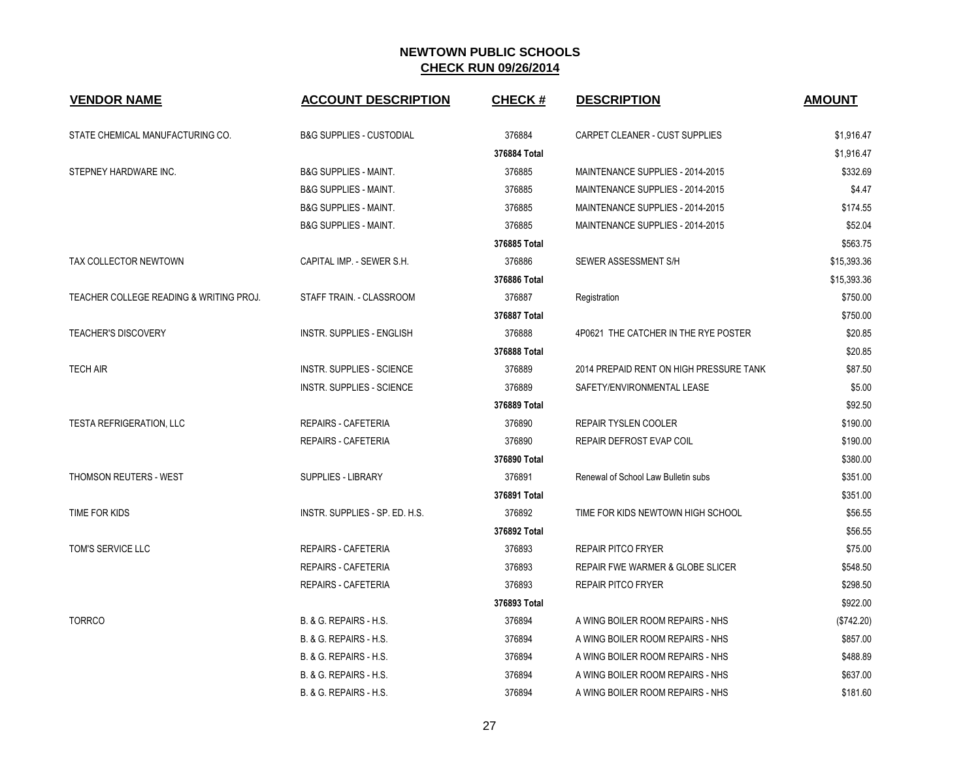| <b>VENDOR NAME</b>                      | <b>ACCOUNT DESCRIPTION</b>          | <b>CHECK#</b> | <b>DESCRIPTION</b>                      | <b>AMOUNT</b> |
|-----------------------------------------|-------------------------------------|---------------|-----------------------------------------|---------------|
| STATE CHEMICAL MANUFACTURING CO.        | <b>B&amp;G SUPPLIES - CUSTODIAL</b> | 376884        | CARPET CLEANER - CUST SUPPLIES          | \$1,916.47    |
|                                         |                                     | 376884 Total  |                                         | \$1,916.47    |
| STEPNEY HARDWARE INC.                   | <b>B&amp;G SUPPLIES - MAINT.</b>    | 376885        | MAINTENANCE SUPPLIES - 2014-2015        | \$332.69      |
|                                         | <b>B&amp;G SUPPLIES - MAINT.</b>    | 376885        | MAINTENANCE SUPPLIES - 2014-2015        | \$4.47        |
|                                         | <b>B&amp;G SUPPLIES - MAINT.</b>    | 376885        | MAINTENANCE SUPPLIES - 2014-2015        | \$174.55      |
|                                         | <b>B&amp;G SUPPLIES - MAINT.</b>    | 376885        | MAINTENANCE SUPPLIES - 2014-2015        | \$52.04       |
|                                         |                                     | 376885 Total  |                                         | \$563.75      |
| TAX COLLECTOR NEWTOWN                   | CAPITAL IMP. - SEWER S.H.           | 376886        | SEWER ASSESSMENT S/H                    | \$15,393.36   |
|                                         |                                     | 376886 Total  |                                         | \$15,393.36   |
| TEACHER COLLEGE READING & WRITING PROJ. | STAFF TRAIN. - CLASSROOM            | 376887        | Registration                            | \$750.00      |
|                                         |                                     | 376887 Total  |                                         | \$750.00      |
| <b>TEACHER'S DISCOVERY</b>              | <b>INSTR. SUPPLIES - ENGLISH</b>    | 376888        | 4P0621 THE CATCHER IN THE RYE POSTER    | \$20.85       |
|                                         |                                     | 376888 Total  |                                         | \$20.85       |
| <b>TECH AIR</b>                         | <b>INSTR. SUPPLIES - SCIENCE</b>    | 376889        | 2014 PREPAID RENT ON HIGH PRESSURE TANK | \$87.50       |
|                                         | <b>INSTR. SUPPLIES - SCIENCE</b>    | 376889        | SAFETY/ENVIRONMENTAL LEASE              | \$5.00        |
|                                         |                                     | 376889 Total  |                                         | \$92.50       |
| <b>TESTA REFRIGERATION, LLC</b>         | <b>REPAIRS - CAFETERIA</b>          | 376890        | <b>REPAIR TYSLEN COOLER</b>             | \$190.00      |
|                                         | <b>REPAIRS - CAFETERIA</b>          | 376890        | REPAIR DEFROST EVAP COIL                | \$190.00      |
|                                         |                                     | 376890 Total  |                                         | \$380.00      |
| THOMSON REUTERS - WEST                  | <b>SUPPLIES - LIBRARY</b>           | 376891        | Renewal of School Law Bulletin subs     | \$351.00      |
|                                         |                                     | 376891 Total  |                                         | \$351.00      |
| TIME FOR KIDS                           | INSTR. SUPPLIES - SP. ED. H.S.      | 376892        | TIME FOR KIDS NEWTOWN HIGH SCHOOL       | \$56.55       |
|                                         |                                     | 376892 Total  |                                         | \$56.55       |
| TOM'S SERVICE LLC                       | <b>REPAIRS - CAFETERIA</b>          | 376893        | <b>REPAIR PITCO FRYER</b>               | \$75.00       |
|                                         | REPAIRS - CAFETERIA                 | 376893        | REPAIR FWE WARMER & GLOBE SLICER        | \$548.50      |
|                                         | <b>REPAIRS - CAFETERIA</b>          | 376893        | <b>REPAIR PITCO FRYER</b>               | \$298.50      |
|                                         |                                     | 376893 Total  |                                         | \$922.00      |
| <b>TORRCO</b>                           | B. & G. REPAIRS - H.S.              | 376894        | A WING BOILER ROOM REPAIRS - NHS        | (\$742.20)    |
|                                         | B. & G. REPAIRS - H.S.              | 376894        | A WING BOILER ROOM REPAIRS - NHS        | \$857.00      |
|                                         | B. & G. REPAIRS - H.S.              | 376894        | A WING BOILER ROOM REPAIRS - NHS        | \$488.89      |
|                                         | <b>B. &amp; G. REPAIRS - H.S.</b>   | 376894        | A WING BOILER ROOM REPAIRS - NHS        | \$637.00      |
|                                         | B. & G. REPAIRS - H.S.              | 376894        | A WING BOILER ROOM REPAIRS - NHS        | \$181.60      |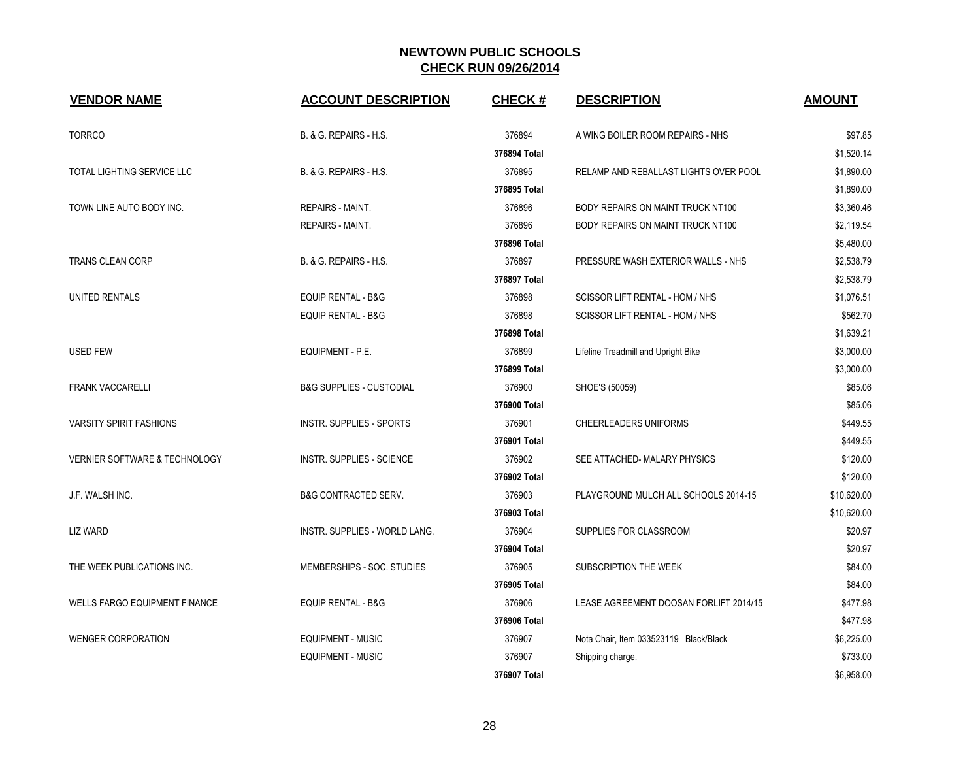| <b>VENDOR NAME</b>                       | <b>ACCOUNT DESCRIPTION</b>          | <b>CHECK#</b> | <b>DESCRIPTION</b>                     | <b>AMOUNT</b> |
|------------------------------------------|-------------------------------------|---------------|----------------------------------------|---------------|
| <b>TORRCO</b>                            | B. & G. REPAIRS - H.S.              | 376894        | A WING BOILER ROOM REPAIRS - NHS       | \$97.85       |
|                                          |                                     | 376894 Total  |                                        | \$1,520.14    |
| TOTAL LIGHTING SERVICE LLC               | B. & G. REPAIRS - H.S.              | 376895        | RELAMP AND REBALLAST LIGHTS OVER POOL  | \$1,890.00    |
|                                          |                                     | 376895 Total  |                                        | \$1,890.00    |
| TOWN LINE AUTO BODY INC.                 | <b>REPAIRS - MAINT.</b>             | 376896        | BODY REPAIRS ON MAINT TRUCK NT100      | \$3,360.46    |
|                                          | <b>REPAIRS - MAINT.</b>             | 376896        | BODY REPAIRS ON MAINT TRUCK NT100      | \$2,119.54    |
|                                          |                                     | 376896 Total  |                                        | \$5,480.00    |
| <b>TRANS CLEAN CORP</b>                  | B. & G. REPAIRS - H.S.              | 376897        | PRESSURE WASH EXTERIOR WALLS - NHS     | \$2,538.79    |
|                                          |                                     | 376897 Total  |                                        | \$2,538.79    |
| UNITED RENTALS                           | <b>EQUIP RENTAL - B&amp;G</b>       | 376898        | SCISSOR LIFT RENTAL - HOM / NHS        | \$1,076.51    |
|                                          | <b>EQUIP RENTAL - B&amp;G</b>       | 376898        | SCISSOR LIFT RENTAL - HOM / NHS        | \$562.70      |
|                                          |                                     | 376898 Total  |                                        | \$1,639.21    |
| <b>USED FEW</b>                          | EQUIPMENT - P.E.                    | 376899        | Lifeline Treadmill and Upright Bike    | \$3,000.00    |
|                                          |                                     | 376899 Total  |                                        | \$3,000.00    |
| <b>FRANK VACCARELLI</b>                  | <b>B&amp;G SUPPLIES - CUSTODIAL</b> | 376900        | SHOE'S (50059)                         | \$85.06       |
|                                          |                                     | 376900 Total  |                                        | \$85.06       |
| <b>VARSITY SPIRIT FASHIONS</b>           | <b>INSTR. SUPPLIES - SPORTS</b>     | 376901        | CHEERLEADERS UNIFORMS                  | \$449.55      |
|                                          |                                     | 376901 Total  |                                        | \$449.55      |
| <b>VERNIER SOFTWARE &amp; TECHNOLOGY</b> | <b>INSTR. SUPPLIES - SCIENCE</b>    | 376902        | SEE ATTACHED- MALARY PHYSICS           | \$120.00      |
|                                          |                                     | 376902 Total  |                                        | \$120.00      |
| J.F. WALSH INC.                          | <b>B&amp;G CONTRACTED SERV.</b>     | 376903        | PLAYGROUND MULCH ALL SCHOOLS 2014-15   | \$10,620.00   |
|                                          |                                     | 376903 Total  |                                        | \$10,620.00   |
| <b>LIZ WARD</b>                          | INSTR. SUPPLIES - WORLD LANG.       | 376904        | SUPPLIES FOR CLASSROOM                 | \$20.97       |
|                                          |                                     | 376904 Total  |                                        | \$20.97       |
| THE WEEK PUBLICATIONS INC.               | MEMBERSHIPS - SOC. STUDIES          | 376905        | SUBSCRIPTION THE WEEK                  | \$84.00       |
|                                          |                                     | 376905 Total  |                                        | \$84.00       |
| <b>WELLS FARGO EQUIPMENT FINANCE</b>     | <b>EQUIP RENTAL - B&amp;G</b>       | 376906        | LEASE AGREEMENT DOOSAN FORLIFT 2014/15 | \$477.98      |
|                                          |                                     | 376906 Total  |                                        | \$477.98      |
| <b>WENGER CORPORATION</b>                | <b>EQUIPMENT - MUSIC</b>            | 376907        | Nota Chair, Item 033523119 Black/Black | \$6,225.00    |
|                                          | <b>EQUIPMENT - MUSIC</b>            | 376907        | Shipping charge.                       | \$733.00      |
|                                          |                                     | 376907 Total  |                                        | \$6,958.00    |